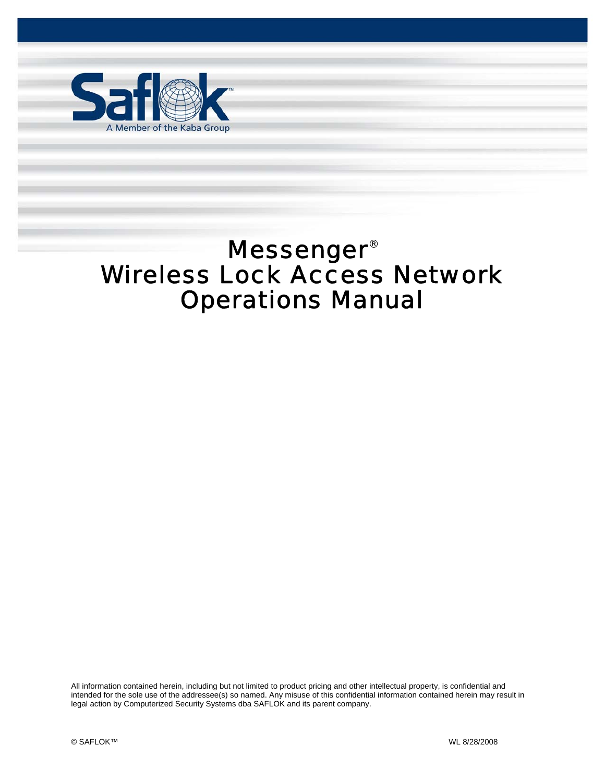

Messenger®

# Messenger® Wireless Lock Access Network Operations Manual

Wireless Lock Access Network Operations Manual Pg. 1 of 55

All information contained herein, including but not limited to product pricing and other intellectual property, is confidential and intended for the sole use of the addressee(s) so named. Any misuse of this confidential information contained herein may result in legal action by Computerized Security Systems dba SAFLOK and its parent company.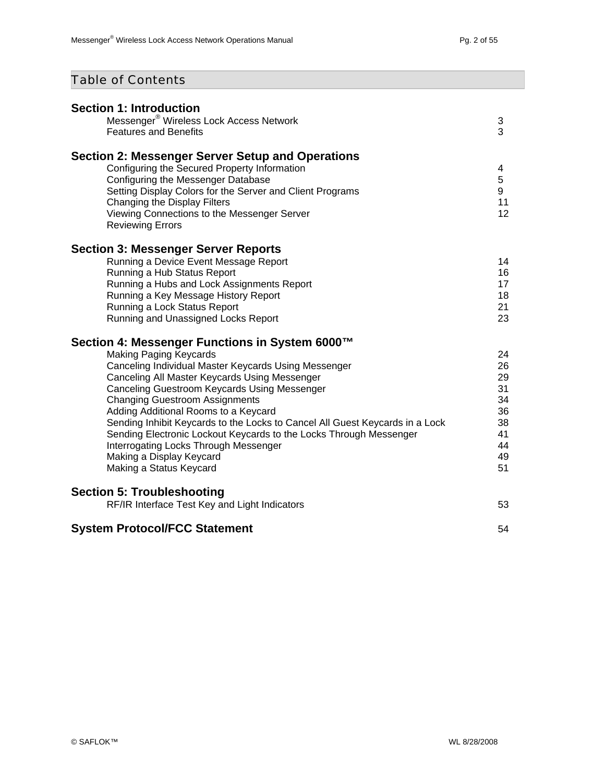## Table of Contents

| <b>Section 1: Introduction</b><br>Messenger® Wireless Lock Access Network                                            |          |
|----------------------------------------------------------------------------------------------------------------------|----------|
| <b>Features and Benefits</b>                                                                                         | 3<br>3   |
| Section 2: Messenger Server Setup and Operations                                                                     |          |
| Configuring the Secured Property Information<br>Configuring the Messenger Database                                   | 4<br>5   |
| Setting Display Colors for the Server and Client Programs                                                            | 9        |
| Changing the Display Filters                                                                                         | 11       |
| Viewing Connections to the Messenger Server<br><b>Reviewing Errors</b>                                               | 12       |
| <b>Section 3: Messenger Server Reports</b>                                                                           |          |
| Running a Device Event Message Report<br>Running a Hub Status Report                                                 | 14<br>16 |
| Running a Hubs and Lock Assignments Report                                                                           | 17       |
| Running a Key Message History Report                                                                                 | 18       |
| Running a Lock Status Report<br>Running and Unassigned Locks Report                                                  | 21<br>23 |
|                                                                                                                      |          |
| Section 4: Messenger Functions in System 6000™                                                                       |          |
| <b>Making Paging Keycards</b>                                                                                        | 24       |
| Canceling Individual Master Keycards Using Messenger<br>Canceling All Master Keycards Using Messenger                | 26<br>29 |
| Canceling Guestroom Keycards Using Messenger                                                                         | 31       |
| <b>Changing Guestroom Assignments</b>                                                                                | 34       |
| Adding Additional Rooms to a Keycard<br>Sending Inhibit Keycards to the Locks to Cancel All Guest Keycards in a Lock | 36<br>38 |
| Sending Electronic Lockout Keycards to the Locks Through Messenger                                                   | 41       |
| Interrogating Locks Through Messenger                                                                                | 44       |
| Making a Display Keycard                                                                                             | 49<br>51 |
| Making a Status Keycard                                                                                              |          |
| <b>Section 5: Troubleshooting</b>                                                                                    |          |
| RF/IR Interface Test Key and Light Indicators                                                                        | 53       |
| <b>System Protocol/FCC Statement</b>                                                                                 | 54       |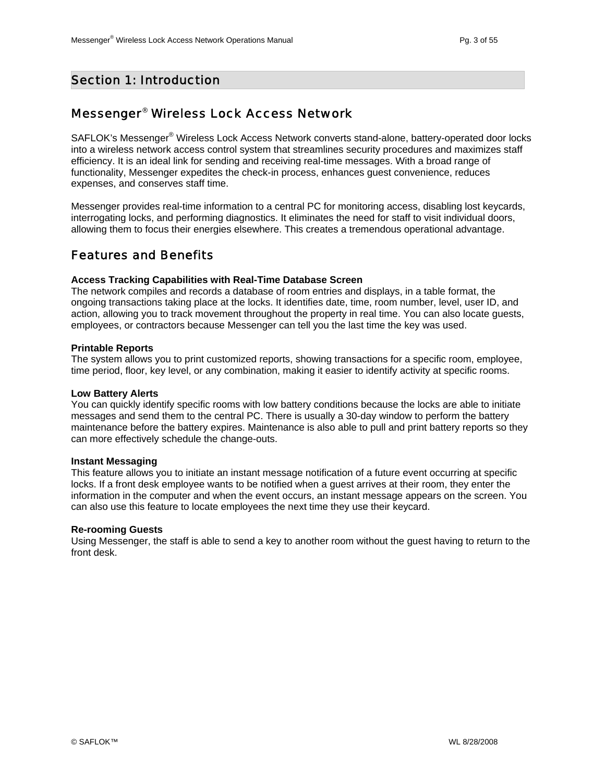#### Section 1: Introduction

### Messenger® Wireless Lock Access Network

SAFLOK's Messenger® Wireless Lock Access Network converts stand-alone, battery-operated door locks into a wireless network access control system that streamlines security procedures and maximizes staff efficiency. It is an ideal link for sending and receiving real-time messages. With a broad range of functionality, Messenger expedites the check-in process, enhances guest convenience, reduces expenses, and conserves staff time.

Messenger provides real-time information to a central PC for monitoring access, disabling lost keycards, interrogating locks, and performing diagnostics. It eliminates the need for staff to visit individual doors, allowing them to focus their energies elsewhere. This creates a tremendous operational advantage.

#### Features and Benefits

#### **Access Tracking Capabilities with Real-Time Database Screen**

The network compiles and records a database of room entries and displays, in a table format, the ongoing transactions taking place at the locks. It identifies date, time, room number, level, user ID, and action, allowing you to track movement throughout the property in real time. You can also locate guests, employees, or contractors because Messenger can tell you the last time the key was used.

#### **Printable Reports**

The system allows you to print customized reports, showing transactions for a specific room, employee, time period, floor, key level, or any combination, making it easier to identify activity at specific rooms.

#### **Low Battery Alerts**

You can quickly identify specific rooms with low battery conditions because the locks are able to initiate messages and send them to the central PC. There is usually a 30-day window to perform the battery maintenance before the battery expires. Maintenance is also able to pull and print battery reports so they can more effectively schedule the change-outs.

#### **Instant Messaging**

This feature allows you to initiate an instant message notification of a future event occurring at specific locks. If a front desk employee wants to be notified when a guest arrives at their room, they enter the information in the computer and when the event occurs, an instant message appears on the screen. You can also use this feature to locate employees the next time they use their keycard.

#### **Re-rooming Guests**

Using Messenger, the staff is able to send a key to another room without the guest having to return to the front desk.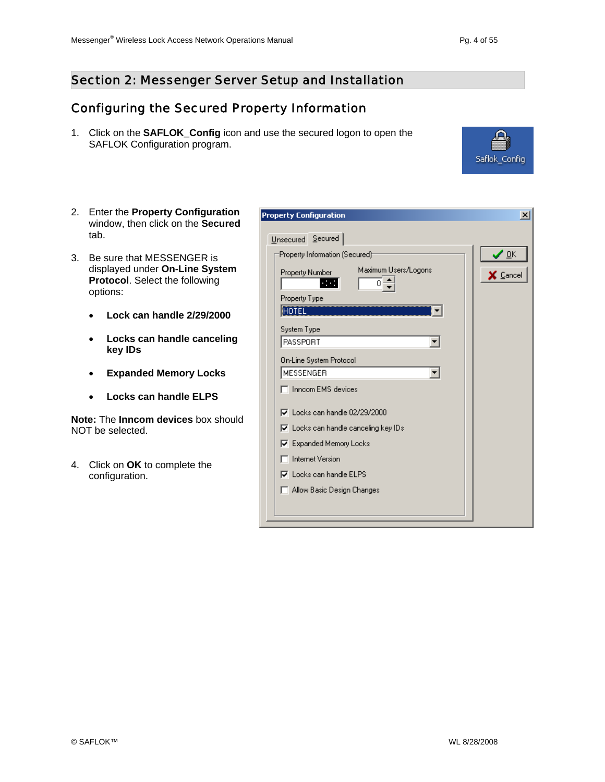## Configuring the Secured Property Information

1. Click on the **SAFLOK\_Config** icon and use the secured logon to open the SAFLOK Configuration program.

**Property Configuration** 

- 2. Enter the **Property Configuration** window, then click on the **Secured** tab.
- 3. Be sure that MESSENGER is displayed under **On-Line System Protocol**. Select the following options:
	- **Lock can handle 2/29/2000**
	- **Locks can handle canceling key IDs**
	- **Expanded Memory Locks**
	- **Locks can handle ELPS**

**Note:** The **Inncom devices** box should NOT be selected.

4. Click on **OK** to complete the configuration.

| Unsecured Secured                                                              |          |
|--------------------------------------------------------------------------------|----------|
| Property Information (Secured):                                                | ' OK     |
| Maximum Users/Logons<br><b>Property Number</b><br>a sa n<br>n<br>Property Type | X Cancel |
| HOTEL                                                                          |          |
| System Type                                                                    |          |
| PASSPORT                                                                       |          |
| <b>On-Line System Protocol</b>                                                 |          |
| MESSENGER                                                                      |          |
| Innoom EMS devices                                                             |          |
| $\nabla$ Locks can handle 02/29/2000                                           |          |
| $\nabla$ Locks can handle canceling key IDs                                    |          |
| <b>▽</b> Expanded Memory Locks                                                 |          |
| <b>Internet Version</b>                                                        |          |
| $\nabla$ Locks can handle ELPS                                                 |          |
| Allow Basic Design Changes                                                     |          |
|                                                                                |          |
|                                                                                |          |



 $\vert x \vert$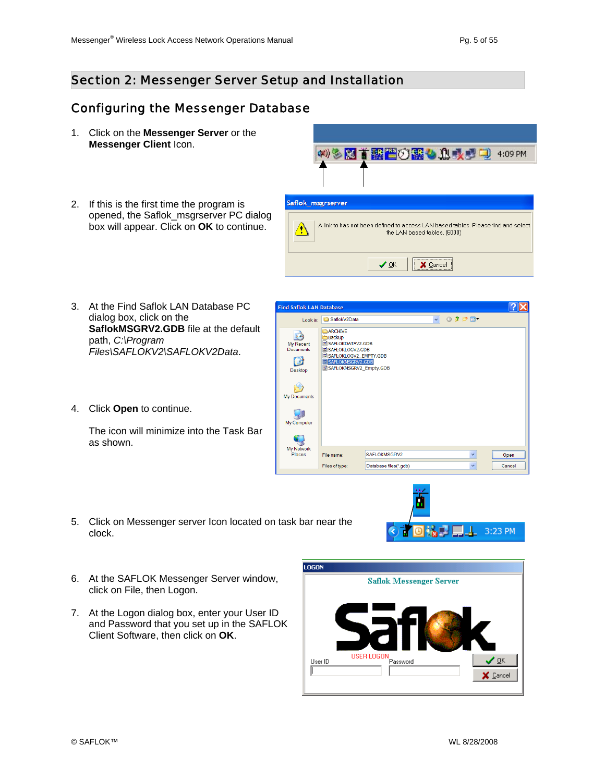### Configuring the Messenger Database

- 1. Click on the **Messenger Server** or the **Messenger Client** Icon.
- 2. If this is the first time the program is opened, the Saflok\_msgrserver PC dialog box will appear. Click on **OK** to continue.



A link to has not been defined to access LAN based tables. Please find and select

the LAN based tables. (6000)  $\times$  Cancel  $\vee$  ok

**Find Saflok LAN Database** 

- 3. At the Find Saflok LAN Database PC dialog box, click on the **SaflokMSGRV2.GDB** file at the default path, *C:\Program Files\SAFLOKV2\SAFLOKV2Data*.
- 4. Click **Open** to continue.

The icon will minimize into the Task Bar as shown.

v Odpm-Look in: 3 SaflokV2Data **BARCHIVE**  $\bullet$ Backup UBackup<br>
III SAFLOKDATAV2.GDB<br>
III SAFLOKLOGV2\_EMPTY.GDB<br>
IIII SAFLOKLOGV2\_EMPTY.GDB My Recent<br>Documents B SAFLOKMSGRV2.GDB<br>as SAFLOKMSGRV2\_Empty.GDB Desktop PO My Documents 中 My Computer C My Network<br>Places File name SAFLOKMSGRV2 v. Open Files of type Database files(\*.gdb)  $\ddot{\phantom{0}}$ Cancel



- 5. Click on Messenger server Icon located on task bar near the clock.
- 6. At the SAFLOK Messenger Server window, click on File, then Logon.
- 7. At the Logon dialog box, enter your User ID and Password that you set up in the SAFLOK Client Software, then click on **OK**.

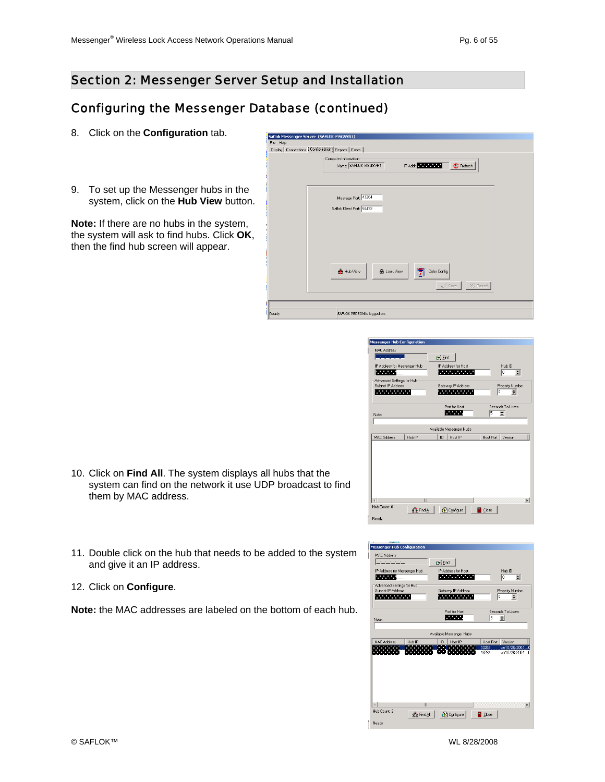#### Configuring the Messenger Database (continued)

- 8. Click on the **Configuration** tab.
- 9. To set up the Messenger hubs in the system, click on the **Hub View** button.

**Note:** If there are no hubs in the system, the system will ask to find hubs. Click **OK**, then the find hub screen will appear.

| File Help                                                |                                                              |
|----------------------------------------------------------|--------------------------------------------------------------|
|                                                          |                                                              |
| Display   Connections   Configuration   Reports   Errors |                                                              |
|                                                          | Computer Information                                         |
|                                                          | Name: SAFLOK-MSGSVR1<br>IP Addr.<br><b>C</b> Refresh         |
|                                                          |                                                              |
|                                                          |                                                              |
|                                                          |                                                              |
|                                                          |                                                              |
|                                                          | Message Port: 43264                                          |
|                                                          |                                                              |
|                                                          | Saflok Client Port: 56432                                    |
|                                                          |                                                              |
|                                                          |                                                              |
|                                                          |                                                              |
|                                                          |                                                              |
|                                                          |                                                              |
|                                                          |                                                              |
|                                                          |                                                              |
|                                                          |                                                              |
|                                                          |                                                              |
|                                                          | <b>RR</b> Hub View<br>Color Config<br><b>&amp;</b> Lock View |
|                                                          |                                                              |
|                                                          | X Cancel<br>$\mathcal{S}$ Save                               |
|                                                          |                                                              |
|                                                          |                                                              |
|                                                          |                                                              |
|                                                          |                                                              |
| Ready                                                    | SAFLOK PERSON is logged on.                                  |

| <b>Messenger Hub Configuration</b> |             |                            |                                                                                                               |                  |                   |   |
|------------------------------------|-------------|----------------------------|---------------------------------------------------------------------------------------------------------------|------------------|-------------------|---|
| <b>MAC Address</b>                 |             |                            |                                                                                                               |                  |                   |   |
| <b>Contractor</b>                  |             | <b>D</b> <sup>1</sup> Eind |                                                                                                               |                  |                   |   |
| IP Address for Messenger Hub       |             |                            | IP Address for Host                                                                                           |                  | Hub ID            |   |
| <b>The Company</b>                 |             |                            | 2000 - 2000 - 2000 - 2000 - 2000 - 2000 - 2000 - 2000 - 2000 - 2000 - 2000 - 2000 - 2000 - 2000 - 2000 - 2000 |                  | lo<br>≑           |   |
| Advanced Settings for Hub          |             |                            |                                                                                                               |                  |                   |   |
| Subnet IP Address                  |             |                            | Gateway IP Address                                                                                            |                  | Property Number   |   |
|                                    |             |                            |                                                                                                               | To               | $\div$            |   |
|                                    |             |                            | Port for Host                                                                                                 |                  | Seconds To Listen |   |
|                                    |             |                            | <b>Service</b>                                                                                                | 5                | $\div$            |   |
| Note:                              |             |                            |                                                                                                               |                  |                   |   |
|                                    |             |                            | Available Messenger Hubs                                                                                      |                  |                   |   |
|                                    |             |                            |                                                                                                               |                  |                   |   |
| <b>MAC Address</b>                 | Hub IP      | ID                         | Host IP                                                                                                       | <b>Host Port</b> | Version           |   |
|                                    |             |                            |                                                                                                               |                  |                   |   |
|                                    |             |                            |                                                                                                               |                  |                   |   |
|                                    |             |                            |                                                                                                               |                  |                   |   |
|                                    |             |                            |                                                                                                               |                  |                   |   |
|                                    |             |                            |                                                                                                               |                  |                   |   |
|                                    |             |                            |                                                                                                               |                  |                   |   |
|                                    |             |                            |                                                                                                               |                  |                   |   |
|                                    | Ш           |                            |                                                                                                               |                  |                   |   |
| Hub Count: 0                       |             |                            |                                                                                                               |                  |                   | × |
|                                    | 중출 Find All |                            | <b>S</b> Configure                                                                                            | <b>Close</b>     |                   |   |
| Ready                              |             |                            |                                                                                                               |                  |                   |   |

- 10. Click on **Find All**. The system displays all hubs that the system can find on the network it use UDP broadcast to find them by MAC address.
- 11. Double click on the hub that needs to be added to the system and give it an IP address.
- 12. Click on **Configure**.

**Note:** the MAC addresses are labeled on the bottom of each hub.

| <b>Messenger Hub Configuration</b>            |                    |                          |                   |                           |
|-----------------------------------------------|--------------------|--------------------------|-------------------|---------------------------|
| MAC Address                                   |                    |                          |                   |                           |
| and the state                                 | <b>Co</b> Eind     |                          |                   |                           |
| IP Address for Messenger Hub                  |                    | IP Address for Host      |                   | Hub ID                    |
|                                               |                    | <b>Service State</b>     | o                 | $\Rightarrow$             |
| Advanced Settings for Hub                     |                    |                          |                   |                           |
| Subnet IP Address<br><b><i>CONTRACTOR</i></b> |                    | Gateway IP Address       | lo                | Property Number<br>$\div$ |
|                                               |                    |                          |                   |                           |
|                                               |                    | Port for Host            | Seconds To Listen |                           |
| Note:                                         |                    | <b>The Co</b>            | $\div$<br>5       |                           |
|                                               |                    |                          |                   |                           |
|                                               |                    | Available Messenger Hubs |                   |                           |
| Hub IP<br><b>MAC Address</b>                  | ID                 | Host IP                  | Host Port         | Version                   |
|                                               |                    |                          | 43264             | ver10/26/2004             |
|                                               |                    |                          | 43264             | ver10/26/2004-.           |
|                                               |                    |                          |                   |                           |
|                                               |                    |                          |                   |                           |
|                                               |                    |                          |                   |                           |
|                                               |                    |                          |                   |                           |
|                                               |                    |                          |                   |                           |
|                                               | W                  |                          |                   | ٠                         |
| Hub Count: 2                                  |                    |                          |                   |                           |
|                                               | <b>43 Find All</b> | <b>E</b> Configure       | <b>Q</b> Close    |                           |
| Ready                                         |                    |                          |                   |                           |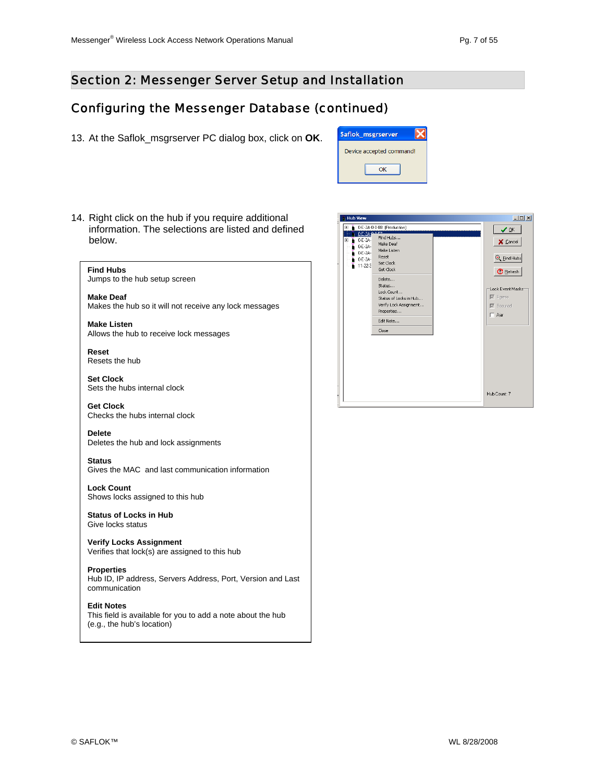#### Configuring the Messenger Database (continued)

13. At the Saflok\_msgrserver PC dialog box, click on **OK**.

| Saflok_msgrserver        |  |
|--------------------------|--|
| Device accepted command! |  |
|                          |  |
| ΩK                       |  |

14. Right click on the hub if you require additional information. The selections are listed and defined below.



#### **Edit Notes**

This field is available for you to add a note about the hub (e.g., the hub's location)

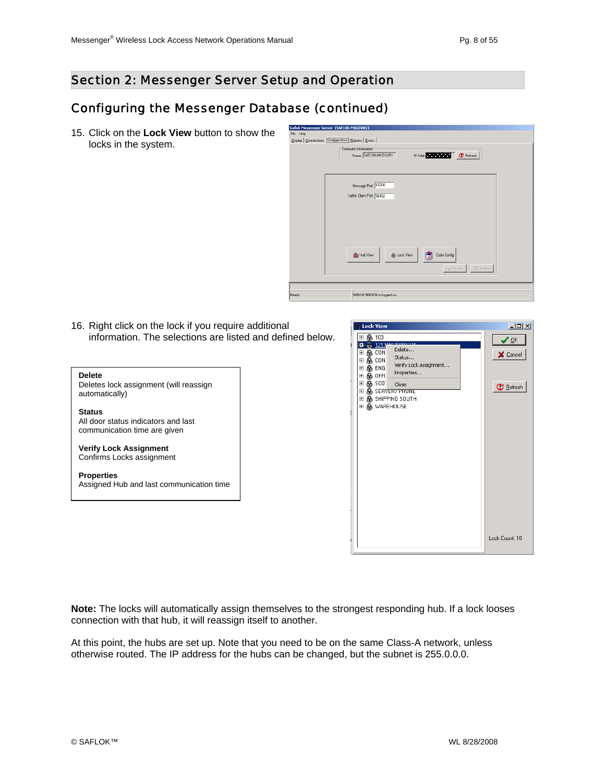#### Section 2: Messenger Server Setup and Operation

#### Configuring the Messenger Database (continued)

15. Click on the **Lock View** button to show the locks in the system.



16. Right click on the lock if you require additional information. The selections are listed and defined below.

#### **Delete**

Deletes lock assignment (will reassign automatically)

**Status**  All door status indicators and last communication time are given

**Verify Lock Assignment**  Confirms Locks assignment

**Properties**  Assigned Hub and last communication time



**Note:** The locks will automatically assign themselves to the strongest responding hub. If a lock looses connection with that hub, it will reassign itself to another.

At this point, the hubs are set up. Note that you need to be on the same Class-A network, unless otherwise routed. The IP address for the hubs can be changed, but the subnet is 255.0.0.0.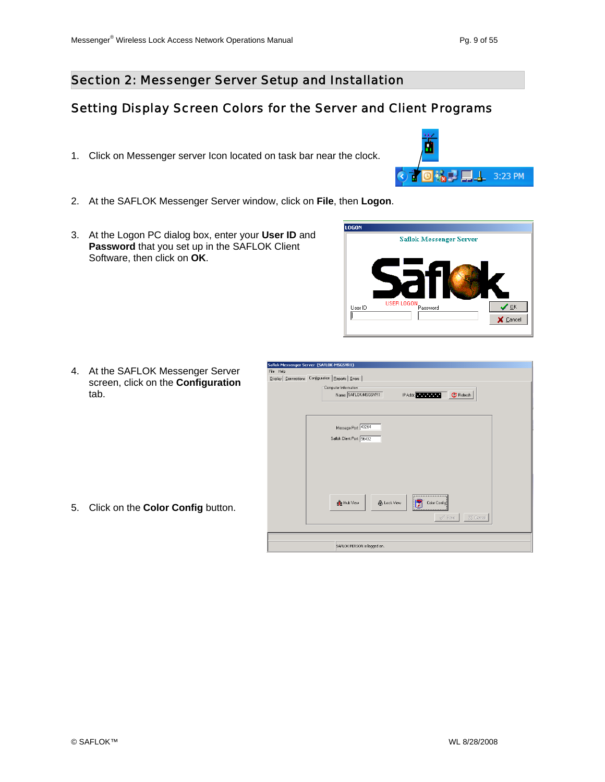$\blacksquare\bot$  3:23 PM

#### Section 2: Messenger Server Setup and Installation

### Setting Display Screen Colors for the Server and Client Programs

- 1. Click on Messenger server Icon located on task bar near the clock.
- 2. At the SAFLOK Messenger Server window, click on **File**, then **Logon**.
- 3. At the Logon PC dialog box, enter your **User ID** and **Password** that you set up in the SAFLOK Client Software, then click on **OK**.



可稿中

4. At the SAFLOK Messenger Server screen, click on the **Configuration** tab.

5. Click on the **Color Config** button.

| File Help | Saflok Messenger Server (SAFLOK-MSGSVR1)<br>Display   Connections Configuration   Reports   Errors                         |
|-----------|----------------------------------------------------------------------------------------------------------------------------|
|           | Computer Information<br>Name: SAFLOK-MSGSVR1<br>IP Addr.<br><b>C</b> Refresh                                               |
|           | Message Port: 43264<br>Saflok Client Port: 56432                                                                           |
|           | --------------------<br><b>SE</b> Hub View<br><b>A</b> Lock View<br><b>Color Config</b><br>XX Cancel<br>$\mathcal{S}$ Save |
|           | SAFLOK PERSON is logged on.                                                                                                |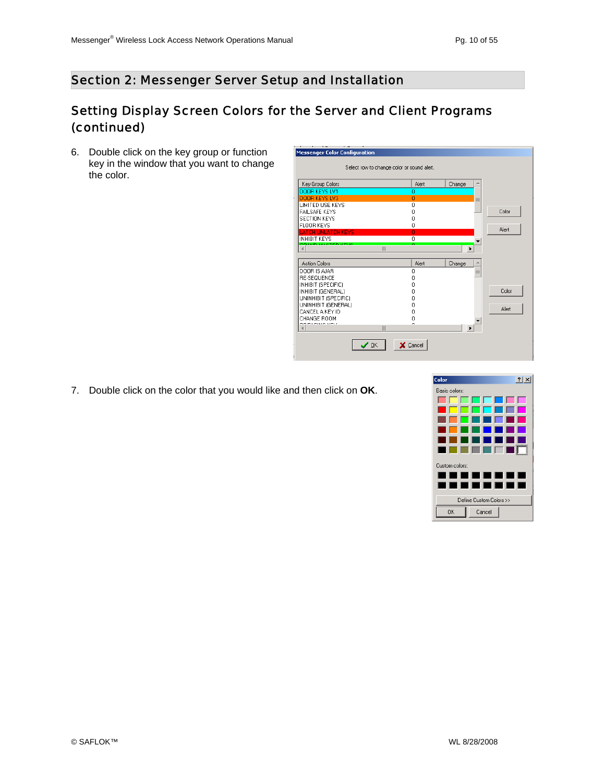## Setting Display Screen Colors for the Server and Client Programs (continued)

6. Double click on the key group or function key in the window that you want to change the color.

| Key Group Colors                                | Alert             | Change |              |
|-------------------------------------------------|-------------------|--------|--------------|
| DOOR KEYS LV1                                   | Ω                 |        |              |
| DOOR KEYS LV3                                   | n                 | $=$    |              |
| LIMITED USE KEYS                                | n                 |        |              |
| <b>FAILSAFE KEYS</b>                            | ۵                 |        | Color        |
| <b>SECTION KEYS</b>                             | n                 |        |              |
| FLOOR KEYS                                      | ٥                 |        | Alert        |
| <b>LATCH UNLATCH KEYS</b>                       | Ō                 |        |              |
| <b>INHIBIT KEYS</b><br><b>ALIM LIAOTED MEUD</b> | n                 |        |              |
|                                                 | III               | ь      |              |
|                                                 |                   |        |              |
| <b>Action Colors</b>                            | Alert             | Change |              |
| DOOR IS AIAR                                    | 0                 | ÷      |              |
| <b>RE-SEQUENCE</b>                              | n                 |        |              |
| INHIBIT (SPECIFIC)                              | n                 |        |              |
| INHIBIT (GENERAL)                               | 0                 |        | Color        |
| UNINHIBIT (SPECIFIC)                            | n                 |        |              |
| UNINHIBIT (GENERAL)                             | n                 |        | <b>Alert</b> |
| CANCEL A KEY ID                                 | n                 |        |              |
| CHANGE ROOM                                     | ۵                 |        |              |
| DE DACING VEV                                   | ó<br>$\mathbb{I}$ | ١      |              |

7. Double click on the color that you would like and then click on **OK**.

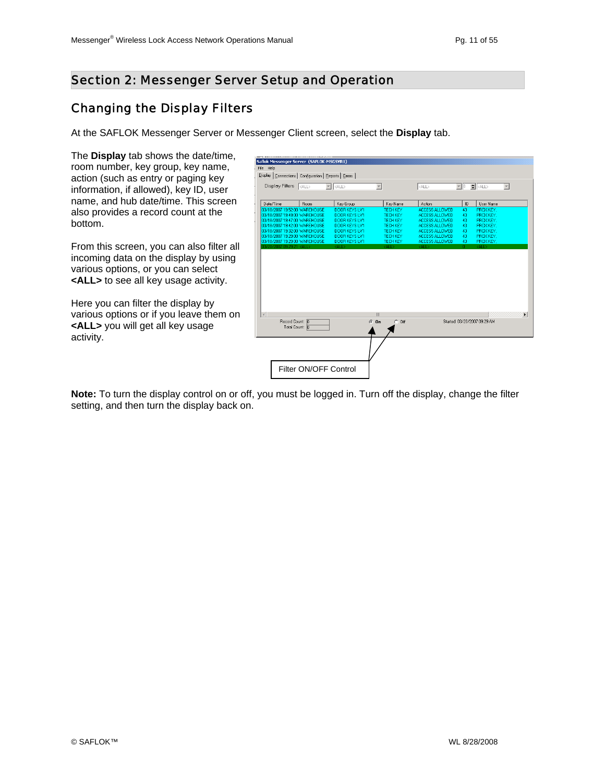#### Section 2: Messenger Server Setup and Operation

#### Changing the Display Filters

At the SAFLOK Messenger Server or Messenger Client screen, select the **Display** tab.

The **Display** tab shows the date/time, room number, key group, key name, action (such as entry or paging key information, if allowed), key ID, user name, and hub date/time. This screen also provides a record count at the bottom.

From this screen, you can also filter all incoming data on the display by using various options, or you can select **<ALL>** to see all key usage activity.

Here you can filter the display by various options or if you leave them on **<ALL>** you will get all key usage activity.

| Saflok Messenger Server (SAFLOK-MSGSVR1)                 |                       |                      |                          |                       |    |                                                    |  |
|----------------------------------------------------------|-----------------------|----------------------|--------------------------|-----------------------|----|----------------------------------------------------|--|
|                                                          |                       |                      |                          |                       |    |                                                    |  |
| File Help                                                |                       |                      |                          |                       |    |                                                    |  |
| Display   Connections   Configuration   Reports   Errors |                       |                      |                          |                       |    |                                                    |  |
| Display Filters <all></all>                              |                       | $\mathbb{E}$ calls   | $\overline{\phantom{a}}$ | <all></all>           |    | $\boxed{2}$ 0 $\leftarrow$ $\boxed{0}$ $\boxed{0}$ |  |
|                                                          |                       |                      |                          |                       |    |                                                    |  |
|                                                          |                       |                      |                          |                       |    |                                                    |  |
| Date/Time                                                | Room                  | Key Group            | Key Name                 | Action                | ID | User Name                                          |  |
| 03/18/2007 19:52:00 WAREHOUSE                            |                       | DOOR KEYS LV1        | <b>TECH KEY</b>          | <b>ACCESS ALLOWED</b> | 43 | PROX KEY.                                          |  |
| 03/18/2007 19:49:00 WAREHOUSE                            |                       | DOOR KEYS LV1        | <b>TECH KEY</b>          | ACCESS ALLOWED        | 43 | PROX KEY.                                          |  |
| 03/18/2007 19:47:00 WAREHOUSE                            |                       | DOOR KEYS LV1        | <b>TECH KEY</b>          | ACCESS ALLOWED        | 43 | PROX KEY.                                          |  |
| 03/18/2007 19:42:00 WAREHOUSE                            |                       | DOOR KEYS LV1        | <b>TECH KEY</b>          | ACCESS ALLOWED        | 43 | PROX KEY.                                          |  |
| 03/18/2007 19:32:00 WAREHOUSE                            |                       | DOOR KEYS LV1        | <b>TECH KEY</b>          | ACCESS ALLOWED        | 43 | PROX KEY.                                          |  |
| 03/18/2007 19:29:00 WAREHOUSE                            |                       | <b>DOOR KEYS LV1</b> | <b>TECH KEY</b>          | ACCESS ALLOWED        | 43 | PROX KEY.                                          |  |
| 03/18/2007 19:29:00 WAREHOUSE                            |                       | DOOR KEYS LV1        | <b>TECH KEY</b>          | ACCESS ALLOWED        | 43 | PROX KEY.                                          |  |
| 03/20/2007 09:29:21 <all></all>                          |                       | <all></all>          | <b>CALLS</b>             | KALL S                | Ω. | <all></all>                                        |  |
|                                                          |                       |                      |                          |                       |    |                                                    |  |
|                                                          |                       |                      |                          |                       |    |                                                    |  |
|                                                          |                       |                      |                          |                       |    |                                                    |  |
|                                                          |                       |                      |                          |                       |    |                                                    |  |
|                                                          |                       |                      |                          |                       |    |                                                    |  |
|                                                          |                       |                      |                          |                       |    |                                                    |  |
|                                                          |                       |                      |                          |                       |    |                                                    |  |
|                                                          |                       |                      |                          |                       |    |                                                    |  |
|                                                          |                       |                      | $\mathbb{H}$             |                       |    |                                                    |  |
| Record Count: 8                                          |                       |                      | $G$ On<br>$C$ Off        |                       |    | Started: 03/20/2007 09:29 AM                       |  |
| Total Count: 8                                           |                       |                      |                          |                       |    |                                                    |  |
|                                                          |                       |                      |                          |                       |    |                                                    |  |
|                                                          |                       |                      |                          |                       |    |                                                    |  |
|                                                          |                       |                      |                          |                       |    |                                                    |  |
|                                                          |                       |                      |                          |                       |    |                                                    |  |
|                                                          |                       |                      |                          |                       |    |                                                    |  |
|                                                          |                       |                      |                          |                       |    |                                                    |  |
|                                                          | Filter ON/OFF Control |                      |                          |                       |    |                                                    |  |

**Note:** To turn the display control on or off, you must be logged in. Turn off the display, change the filter setting, and then turn the display back on.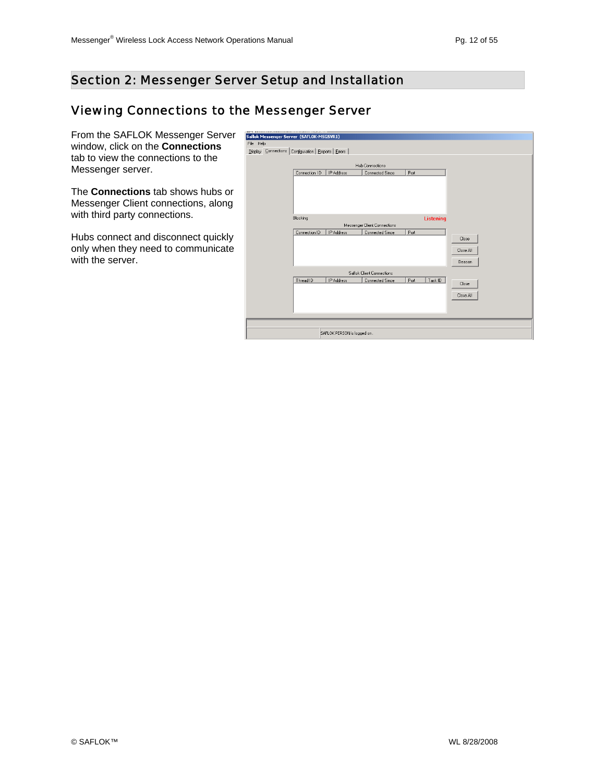### Viewing Connections to the Messenger Server

From the SAFLOK Messenger Server window, click on the **Connections** tab to view the connections to the Messenger server.

The **Connections** tab shows hubs or Messenger Client connections, along with third party connections.

Hubs connect and disconnect quickly only when they need to communicate with the server.

| Saflok Messenger Server (SAFLOK-MSGSVR1)             |               |                             |                                                 |      |                  |           |
|------------------------------------------------------|---------------|-----------------------------|-------------------------------------------------|------|------------------|-----------|
| File<br>Help                                         |               |                             |                                                 |      |                  |           |
| Display Connections Configuration   Reports   Errors |               |                             |                                                 |      |                  |           |
|                                                      |               |                             |                                                 |      |                  |           |
|                                                      |               |                             | <b>Hub Connections</b>                          |      |                  |           |
|                                                      | Connection ID | IP Address                  | Connected Since                                 | Port |                  |           |
|                                                      |               |                             |                                                 |      |                  |           |
|                                                      |               |                             |                                                 |      |                  |           |
|                                                      |               |                             |                                                 |      |                  |           |
|                                                      |               |                             |                                                 |      |                  |           |
|                                                      |               |                             |                                                 |      |                  |           |
|                                                      | Blocking      |                             |                                                 |      | <b>Listening</b> |           |
|                                                      | Connection ID | IP Address                  | Messenger Client Connections<br>Connected Since | Port |                  |           |
|                                                      |               |                             |                                                 |      |                  | Close     |
|                                                      |               |                             |                                                 |      |                  |           |
|                                                      |               |                             |                                                 |      |                  | Close All |
|                                                      |               |                             |                                                 |      |                  | Beacon    |
|                                                      |               |                             |                                                 |      |                  |           |
|                                                      |               |                             | Saflok Client Connections                       |      |                  |           |
|                                                      | Thread ID     | IP Address                  | Connected Since                                 | Port | Task ID          | Close     |
|                                                      |               |                             |                                                 |      |                  |           |
|                                                      |               |                             |                                                 |      |                  | Close All |
|                                                      |               |                             |                                                 |      |                  |           |
|                                                      |               |                             |                                                 |      |                  |           |
|                                                      |               |                             |                                                 |      |                  |           |
|                                                      |               |                             |                                                 |      |                  |           |
|                                                      |               | SAFLOK PERSON is logged on. |                                                 |      |                  |           |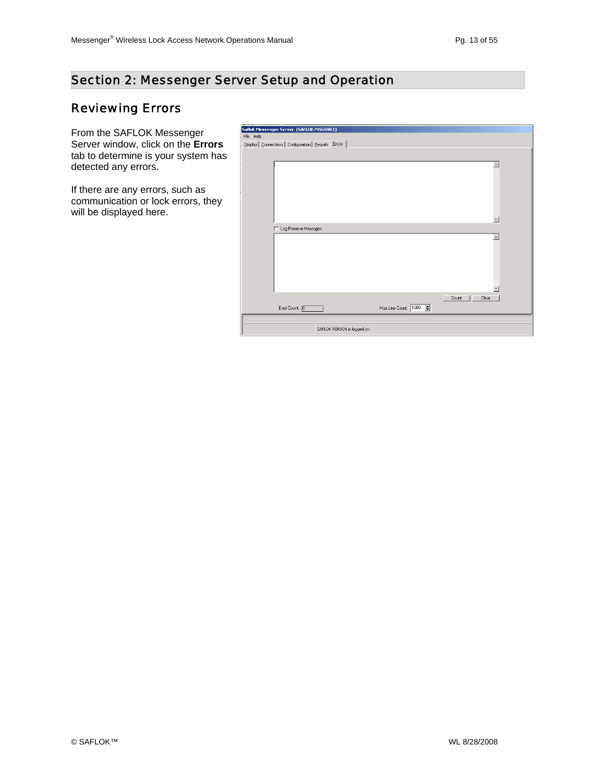#### Section 2: Messenger Server Setup and Operation

## Reviewing Errors

From the SAFLOK Messenger Server window, click on the **Errors** tab to determine is your system has detected any errors.

If there are any errors, such as communication or lock errors, they will be displayed here.

| Saflok Messenger Server (SAFLOK-MSGSVR1)<br>File Help<br>Display   Connections   Configuration   Reports   Errors  <br>$\blacktriangle$<br>Log Receive Messages<br>г<br>$\blacktriangle$<br>Count<br>Clear<br>Max Line Count: 1000<br>Error Count: 0<br>SAFLOK PERSON is logged on. | <b>BORD AS \$1.000 FOR \$1.000 PARTICULAR AND \$1.000 PARTICULAR PROPERTY AND \$1.000 PARTICULAR PROPERTY AND \$1.000 PARTICULAR PROPERTY AND \$1.000 PARTICULAR PROPERTY AND \$1.000 PARTICULAR PROPERTY AND \$1.000 PARTICULAR PROPERT</b> |  |  |
|-------------------------------------------------------------------------------------------------------------------------------------------------------------------------------------------------------------------------------------------------------------------------------------|----------------------------------------------------------------------------------------------------------------------------------------------------------------------------------------------------------------------------------------------|--|--|
|                                                                                                                                                                                                                                                                                     |                                                                                                                                                                                                                                              |  |  |
|                                                                                                                                                                                                                                                                                     |                                                                                                                                                                                                                                              |  |  |
|                                                                                                                                                                                                                                                                                     |                                                                                                                                                                                                                                              |  |  |
|                                                                                                                                                                                                                                                                                     |                                                                                                                                                                                                                                              |  |  |
|                                                                                                                                                                                                                                                                                     |                                                                                                                                                                                                                                              |  |  |
|                                                                                                                                                                                                                                                                                     |                                                                                                                                                                                                                                              |  |  |
|                                                                                                                                                                                                                                                                                     |                                                                                                                                                                                                                                              |  |  |
|                                                                                                                                                                                                                                                                                     |                                                                                                                                                                                                                                              |  |  |
|                                                                                                                                                                                                                                                                                     |                                                                                                                                                                                                                                              |  |  |
|                                                                                                                                                                                                                                                                                     |                                                                                                                                                                                                                                              |  |  |
|                                                                                                                                                                                                                                                                                     |                                                                                                                                                                                                                                              |  |  |
|                                                                                                                                                                                                                                                                                     |                                                                                                                                                                                                                                              |  |  |
|                                                                                                                                                                                                                                                                                     |                                                                                                                                                                                                                                              |  |  |
|                                                                                                                                                                                                                                                                                     |                                                                                                                                                                                                                                              |  |  |
|                                                                                                                                                                                                                                                                                     |                                                                                                                                                                                                                                              |  |  |
|                                                                                                                                                                                                                                                                                     |                                                                                                                                                                                                                                              |  |  |
|                                                                                                                                                                                                                                                                                     |                                                                                                                                                                                                                                              |  |  |
|                                                                                                                                                                                                                                                                                     |                                                                                                                                                                                                                                              |  |  |
|                                                                                                                                                                                                                                                                                     |                                                                                                                                                                                                                                              |  |  |
|                                                                                                                                                                                                                                                                                     |                                                                                                                                                                                                                                              |  |  |
|                                                                                                                                                                                                                                                                                     |                                                                                                                                                                                                                                              |  |  |
|                                                                                                                                                                                                                                                                                     |                                                                                                                                                                                                                                              |  |  |
|                                                                                                                                                                                                                                                                                     |                                                                                                                                                                                                                                              |  |  |
|                                                                                                                                                                                                                                                                                     |                                                                                                                                                                                                                                              |  |  |
|                                                                                                                                                                                                                                                                                     |                                                                                                                                                                                                                                              |  |  |
|                                                                                                                                                                                                                                                                                     |                                                                                                                                                                                                                                              |  |  |
|                                                                                                                                                                                                                                                                                     |                                                                                                                                                                                                                                              |  |  |
|                                                                                                                                                                                                                                                                                     |                                                                                                                                                                                                                                              |  |  |
|                                                                                                                                                                                                                                                                                     |                                                                                                                                                                                                                                              |  |  |
|                                                                                                                                                                                                                                                                                     |                                                                                                                                                                                                                                              |  |  |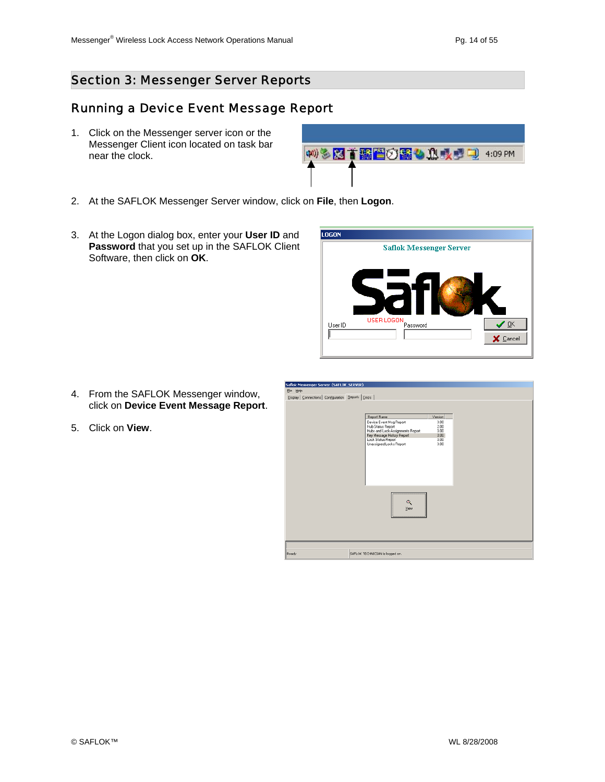#### Running a Device Event Message Report

1. Click on the Messenger server icon or the Messenger Client icon located on task bar near the clock.



- 2. At the SAFLOK Messenger Server window, click on **File**, then **Logon**.
- 3. At the Logon dialog box, enter your **User ID** and **Password** that you set up in the SAFLOK Client Software, then click on **OK**.



- 4. From the SAFLOK Messenger window, click on **Device Event Message Report**.
- 5. Click on **View**.

| Report Name                                                                                                           | Version                      |  |
|-----------------------------------------------------------------------------------------------------------------------|------------------------------|--|
| Device Event Msg Report<br><b>Hub Status Report</b><br>Hubs and Lock Assignments Report<br>Key Message History Report | 3.00<br>2.00<br>3.00<br>3.00 |  |
| Lock Status Report<br>Unassigned Locks Report                                                                         | 3.00<br>3.00                 |  |
| ۹<br>View                                                                                                             |                              |  |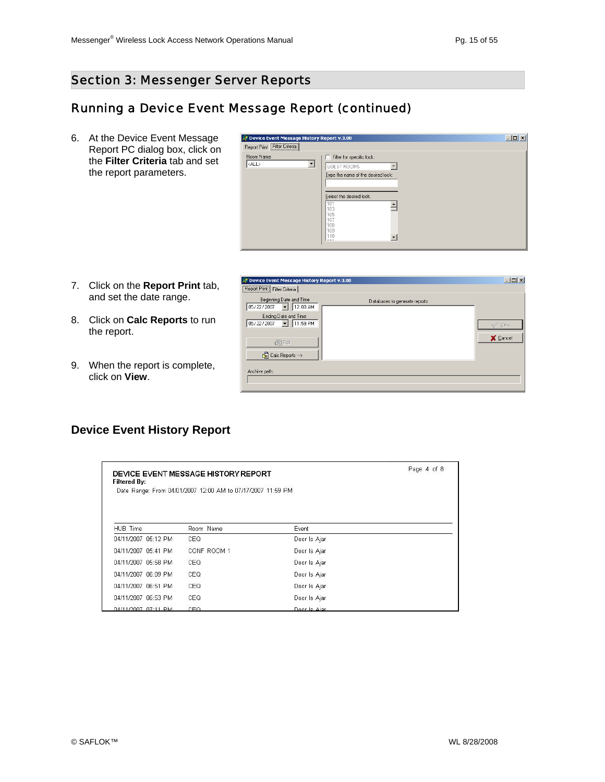#### Running a Device Event Message Report (continued)

6. At the Device Event Message Report PC dialog box, click on the **Filter Criteria** tab and set the report parameters.

| M Device Event Message History Report v.3.00                            |                                                                                                                                                                                                              | $-12x$ |
|-------------------------------------------------------------------------|--------------------------------------------------------------------------------------------------------------------------------------------------------------------------------------------------------------|--------|
| Report Print Filter Criteria                                            |                                                                                                                                                                                                              |        |
| Room Name:<br>$ \langle \text{ALL} \rangle$<br>$\overline{\phantom{a}}$ | Filter for specific lock:<br><b>GUEST ROOMS</b><br>Type the name of the desired lock:<br>Select the desired lock:<br>101<br>103<br>105<br>$\begin{bmatrix} 107 \\ 108 \\ 109 \\ 110 \\ \hline \end{bmatrix}$ |        |

- 7. Click on the **Report Print** tab, and set the date range.
- 8. Click on **Calc Reports** to run the report.
- 9. When the report is complete, click on **View**.



#### **Device Event History Report**

| <b>Filtered By:</b> | DEVICE EVENT MESSAGE HISTORY REPORT                         |              | Page 4 of 8 |
|---------------------|-------------------------------------------------------------|--------------|-------------|
|                     | Date Range: From 04/01/2007 12:00 AM to 07/17/2007 11:59 PM |              |             |
|                     |                                                             |              |             |
| HUB Time            | Room Name                                                   | Event        |             |
| 04/11/2007 05:12 PM | CEQ                                                         | Door Is Ajar |             |
| 04/11/2007 05:41 PM | CONF ROOM 1                                                 | Door Is Ajar |             |
| 04/11/2007 05:58 PM | CEQ                                                         | Door Is Ajar |             |
| 04/11/2007 06:09 PM | CEQ                                                         | Door Is Ajar |             |
| 04/11/2007 06:51 PM | CEQ                                                         | Door Is Ajar |             |
| 04/11/2007 06:53 PM | CEQ                                                         | Door Is Ajar |             |
| 04/11/2007 07:11 PM | CEO                                                         | Door Is Aiar |             |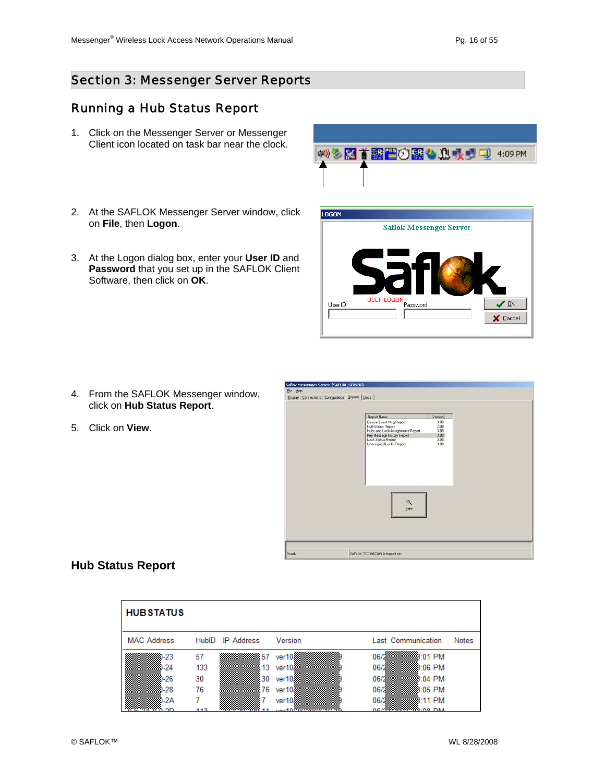#### Running a Hub Status Report

- 1. Click on the Messenger Server or Messenger Client icon located on task bar near the clock.
- 2. At the SAFLOK Messenger Server window, click on **File**, then **Logon**.
- 3. At the Logon dialog box, enter your **User ID** and **Password** that you set up in the SAFLOK Client Software, then click on **OK**.

- 4. From the SAFLOK Messenger window, click on **Hub Status Report**.
- 5. Click on **View**.



柳多图首画图①图4 见表型电 4:09 PM

| Saflok Messenger Server (SAFLUK_SERVER)                |                                                                                  |                      |  |
|--------------------------------------------------------|----------------------------------------------------------------------------------|----------------------|--|
| Ele Help                                               |                                                                                  |                      |  |
| Display   Connections   Configuration Beports   Errors |                                                                                  |                      |  |
|                                                        |                                                                                  |                      |  |
|                                                        | Report Name                                                                      | Version              |  |
|                                                        | Device Event Msg Report<br>Hub Status Report<br>Hubs and Lock Assignments Report | 3.00<br>2.00<br>3.00 |  |
|                                                        | Key Message History Report                                                       | 3.00                 |  |
|                                                        | Lock Status Report<br>Unassigned Locks Report                                    | 3.00<br>3.00         |  |
|                                                        | ۹<br>View                                                                        |                      |  |
|                                                        |                                                                                  |                      |  |
| Ready                                                  | SAFLOK TECHNICIAN is logged on.                                                  |                      |  |

#### **Hub Status Report**

| <b>HUBSTATUS</b>   |     |                  |                    |                      |              |
|--------------------|-----|------------------|--------------------|----------------------|--------------|
| <b>MAC Address</b> |     | HubID IP Address | Version            | Last Communication   | <b>Notes</b> |
| 1-23               | 57  | .57              | ver10              | 8:01 PM<br>06/28     |              |
| -24                | 133 | 13               | ver10.             | 06/28<br>3:06 PM     |              |
| )-26               | 30  | 30               | ver10 <sub>k</sub> | 06/28<br>3:04 PM     |              |
| $-28$              | 76  | -76              | ver10/             | 06/28<br>3:05 PM     |              |
| )-2A               |     |                  | ver10/             | 06/28<br>3:11 PM     |              |
| חמ                 | 442 |                  | $-11$ $+210$ $+10$ | 0C/20000000000-00 DM |              |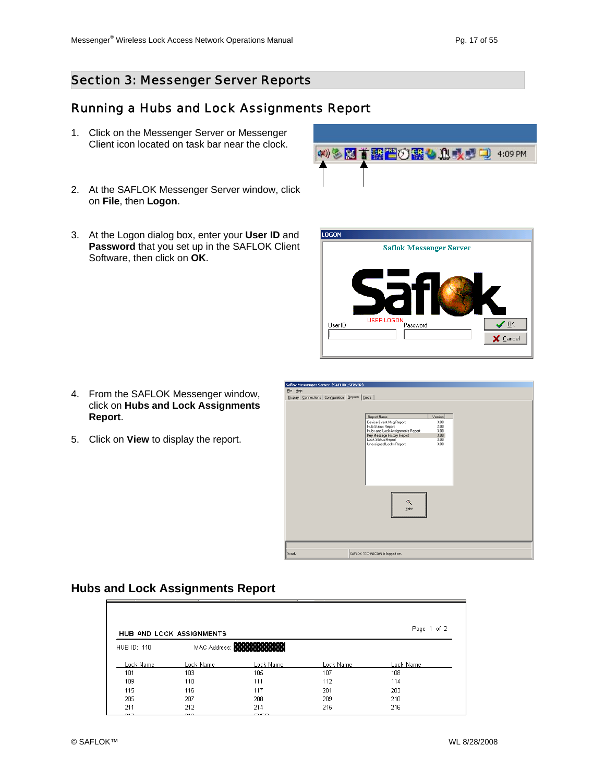#### Running a Hubs and Lock Assignments Report

- 1. Click on the Messenger Server or Messenger Client icon located on task bar near the clock.
- 2. At the SAFLOK Messenger Server window, click on **File**, then **Logon**.
- 3. At the Logon dialog box, enter your **User ID** and **Password** that you set up in the SAFLOK Client Software, then click on **OK**.

- 4. From the SAFLOK Messenger window, click on **Hubs and Lock Assignments Report**.
- 5. Click on **View** to display the report.



**LOGON** 

(※)多区首番晋の露も良長型司 4:09 PM

| Report Name<br>Device Event Msg Report<br>Hub Status Report<br>Hubs and Lock Assignments Report<br>Key Message History Report<br>Lock Status Report<br>Unassigned Locks Report | Version<br>3.00<br>2.00<br>3.00<br>3.00<br>3.00<br>3.00 |  |
|--------------------------------------------------------------------------------------------------------------------------------------------------------------------------------|---------------------------------------------------------|--|
|                                                                                                                                                                                |                                                         |  |
| ۹<br>View                                                                                                                                                                      |                                                         |  |

#### **Hubs and Lock Assignments Report**

|             | <b>HUB AND LOCK ASSIGNMENTS</b> |                                  |           | Page 1 of 2 |
|-------------|---------------------------------|----------------------------------|-----------|-------------|
| HUB ID: 110 |                                 | MAC Address: William Contract of |           |             |
| Lock Name   | Lock Name                       | Lock Name                        | Lock Name | Lock Name   |
| 101         | 103                             | 105                              | 107       | 108         |
| 109         | 110                             | 111                              | 112       | 114         |
| 115         | 116                             | 117                              | 201       | 203         |
| 205         | 207                             | 208                              | 209       | 210         |
| 211         | 212                             | 214                              | 215       | 216         |
|             |                                 |                                  |           |             |

F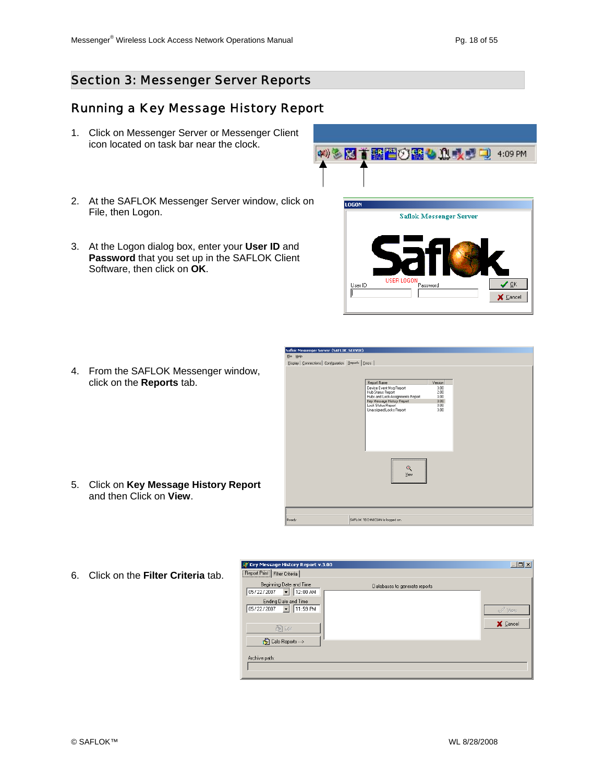X Cancel

#### Section 3: Messenger Server Reports

## Running a Key Message History Report

- 1. Click on Messenger Server or Messenger Client icon located on task bar near the clock.
- 2. At the SAFLOK Messenger Server window, click on File, then Logon.
- 3. At the Logon dialog box, enter your **User ID** and **Password** that you set up in the SAFLOK Client Software, then click on **OK**.



**Saflok Messenger Server** 

LOGON

User ID

- Saflok Messenger Server (SAFLOK\_SERVER) Display | Connections | Configuration | Beports | Errors | Report Name<br>Device Event Mig Report<br>Hub Status Report<br>Hub sand Lock Assignment<br>Key Message History Repo<br>Lock Status Report<br>Unassigned Locks Report  $\begin{array}{r} 3.00 \\ 2.00 \\ 3.00 \\ 3.00 \\ 3.00 \\ 3.00 \\ 3.00 \\ 3.00 \end{array}$  $\mathbb{Q}$ SAFLOK TECHNICIAN is logged on eady
- 5. Click on **Key Message History Report** and then Click on **View**.

4. From the SAFLOK Messenger window,

click on the **Reports** tab.

6. Click on the **Filter Criteria** tab.

| Key Message History Report v.3.00<br>Report Print   Filter Criteria                                                                                |                               | <b>LDX</b>                     |
|----------------------------------------------------------------------------------------------------------------------------------------------------|-------------------------------|--------------------------------|
| Beginning Date and Time<br>05/22/2007<br>12:00 AM<br>Ending Date and Time<br>11:59 PM<br>05/22/2007<br>圖 Edit<br>Calc Reports --><br>Archive path: | Databases to generate reports | $\mathcal{Q}$ View<br>X Cancel |
|                                                                                                                                                    |                               |                                |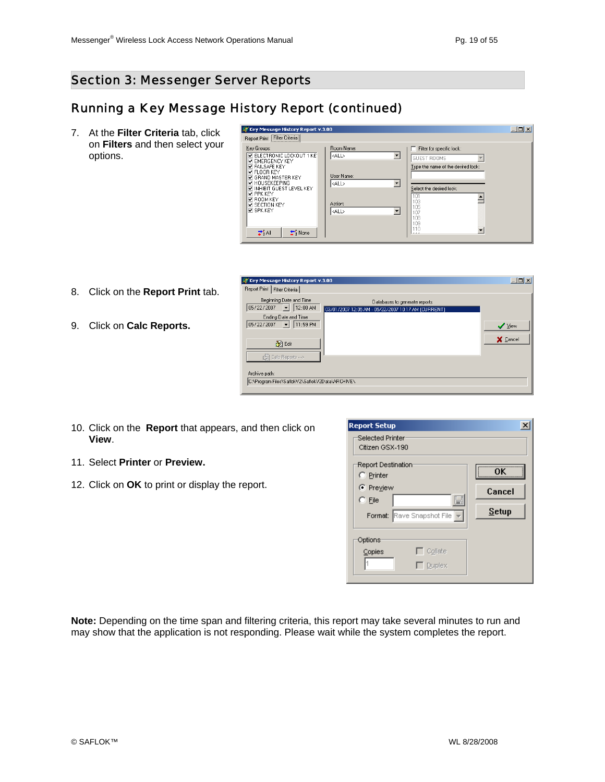$\Box$ D $\times$ 

#### Section 3: Messenger Server Reports

#### Running a Key Message History Report (continued)

7. At the **Filter Criteria** tab, click on **Filters** and then select your options.

| <b> ↓ Key Message History Report v.3.00</b>                                                                                    |                           |                                                                                       | $ \Box$ $\times$ $\Box$ |
|--------------------------------------------------------------------------------------------------------------------------------|---------------------------|---------------------------------------------------------------------------------------|-------------------------|
| Report Print Filter Criteria                                                                                                   |                           |                                                                                       |                         |
| Key Groups:<br><b>N ELECTRONIC LOCKOUT 1 KE</b><br><b>DEMERGENCY KEY</b><br><b>DEALSAFE KEY</b>                                | Room Name:<br><all></all> | Filter for specific lock:<br><b>GUEST ROOMS</b><br>Type the name of the desired lock: |                         |
| $\nabla$ floor key<br><b>V GRAND MASTER KEY</b><br><b>M</b> HOUSEKEEPING<br><b>MINHIBIT GUEST LEVEL KEY</b><br><b>DEPRKKEY</b> | User Name:<br><all></all> | Select the desired lock:<br>101                                                       |                         |
| <b>D</b> BOOM KEY<br><b>DI SECTION KEY</b><br><b>Z SPK KEY</b>                                                                 | Action:<br><all></all>    | 103<br>105<br>107<br>108<br>109                                                       |                         |
| $7^{\circ}$ All<br>$\pm$ None                                                                                                  |                           | 110<br>Lees                                                                           |                         |

8. Click on the **Report Print** tab.

9. Click on **Calc Reports.**

| The bottom with Lilies Christian<br>Beginning Date and Time |                                                     |             |
|-------------------------------------------------------------|-----------------------------------------------------|-------------|
| 05/22/2007 - 12:00 AM                                       | Databases to generate reports                       |             |
| Ending Date and Time                                        | 03/01/2007 12:05 AM - 05/22/2007 10:17 AM (CURRENT) |             |
| 11:59 PM<br>$\vert \cdot \vert$<br>05/22/2007               |                                                     | $\vee$ Yiew |
|                                                             |                                                     |             |
| ib 3 图                                                      |                                                     | X Cancel    |
|                                                             |                                                     |             |
| <b>B</b> Calc Reports →>                                    |                                                     |             |
|                                                             |                                                     |             |
| Archive path:                                               |                                                     |             |
| C:\Program Files\SaflokV2\SaflokV2Data\ARCHIVE\             |                                                     |             |
|                                                             |                                                     |             |

- 10. Click on the **Report** that appears, and then click on **View**.
- 11. Select **Printer** or **Preview.**
- 12. Click on **OK** to print or display the report.

| <b>Report Setup</b><br>Selected Printer<br>Citizen GSX-190                                  |                              |
|---------------------------------------------------------------------------------------------|------------------------------|
| Report Destination<br>C Printer<br>C Preview<br>F<br>$C$ File<br>Format: Rave Snapshot File | 0K<br>Cancel<br><b>Setup</b> |
| Options:<br>$\overline{\phantom{a}}$ Collate<br>Copies<br>$\overline{\phantom{a}}$ Duplex   |                              |

**Note:** Depending on the time span and filtering criteria, this report may take several minutes to run and may show that the application is not responding. Please wait while the system completes the report.

**AV** Key Message History Report v.3.00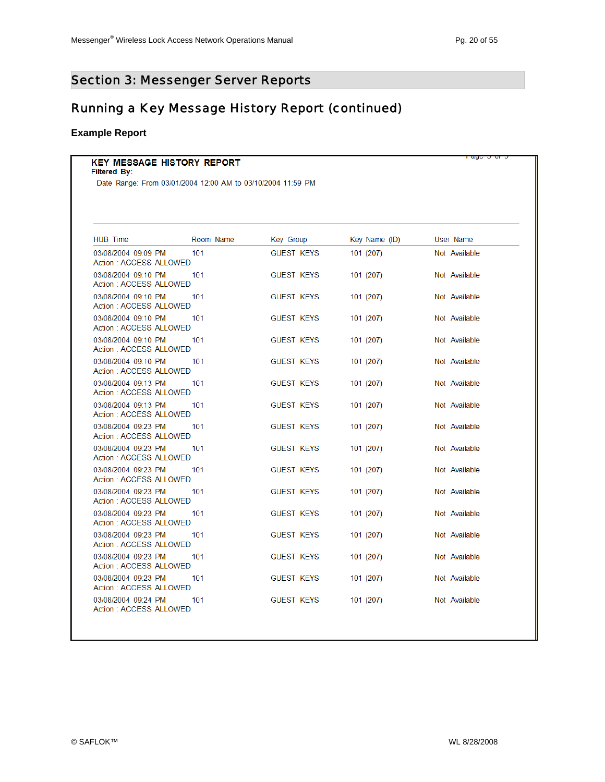uga a ara

### Section 3: Messenger Server Reports

### Running a Key Message History Report (continued)

#### **Example Report**

#### **KEY MESSAGE HISTORY REPORT**

#### Filtered By:

Date Range: From 03/01/2004 12:00 AM to 03/10/2004 11:59 PM

| <b>HUB Time</b>                               | Room Name | Key Group         | Key Name (ID) | User Name     |
|-----------------------------------------------|-----------|-------------------|---------------|---------------|
| 03/08/2004 09:09 PM<br>Action: ACCESS ALLOWED | 101       | <b>GUEST KEYS</b> | 101 (207)     | Not Available |
| 03/08/2004 09:10 PM<br>Action: ACCESS ALLOWED | 101       | <b>GUEST KEYS</b> | 101 (207)     | Not Available |
| 03/08/2004 09:10 PM<br>Action: ACCESS ALLOWED | 101       | <b>GUEST KEYS</b> | 101 (207)     | Not Available |
| 03/08/2004 09:10 PM<br>Action: ACCESS ALLOWED | 101       | <b>GUEST KEYS</b> | 101(207)      | Not Available |
| 03/08/2004 09:10 PM<br>Action: ACCESS ALLOWED | 101       | <b>GUEST KEYS</b> | 101 (207)     | Not Available |
| 03/08/2004 09:10 PM<br>Action: ACCESS ALLOWED | 101       | <b>GUEST KEYS</b> | 101 (207)     | Not Available |
| 03/08/2004 09:13 PM<br>Action: ACCESS ALLOWED | 101       | <b>GUEST KEYS</b> | 101 (207)     | Not Available |
| 03/08/2004 09:13 PM<br>Action: ACCESS ALLOWED | 101       | <b>GUEST KEYS</b> | 101 (207)     | Not Available |
| 03/08/2004 09:23 PM<br>Action: ACCESS ALLOWED | 101       | <b>GUEST KEYS</b> | 101 (207)     | Not Available |
| 03/08/2004 09:23 PM<br>Action: ACCESS ALLOWED | 101       | <b>GUEST KEYS</b> | 101 (207)     | Not Available |
| 03/08/2004 09:23 PM<br>Action: ACCESS ALLOWED | 101       | <b>GUEST KEYS</b> | 101(207)      | Not Available |
| 03/08/2004 09:23 PM<br>Action: ACCESS ALLOWED | 101       | <b>GUEST KEYS</b> | 101 (207)     | Not Available |
| 03/08/2004 09:23 PM<br>Action: ACCESS ALLOWED | 101       | <b>GUEST KEYS</b> | 101 (207)     | Not Available |
| 03/08/2004 09:23 PM<br>Action: ACCESS ALLOWED | 101       | <b>GUEST KEYS</b> | 101 (207)     | Not Available |
| 03/08/2004 09:23 PM<br>Action: ACCESS ALLOWED | 101       | <b>GUEST KEYS</b> | 101 (207)     | Not Available |
| 03/08/2004 09:23 PM<br>Action: ACCESS ALLOWED | 101       | <b>GUEST KEYS</b> | 101 (207)     | Not Available |
| 03/08/2004 09:24 PM<br>Action: ACCESS ALLOWED | 101       | <b>GUEST KEYS</b> | 101 (207)     | Not Available |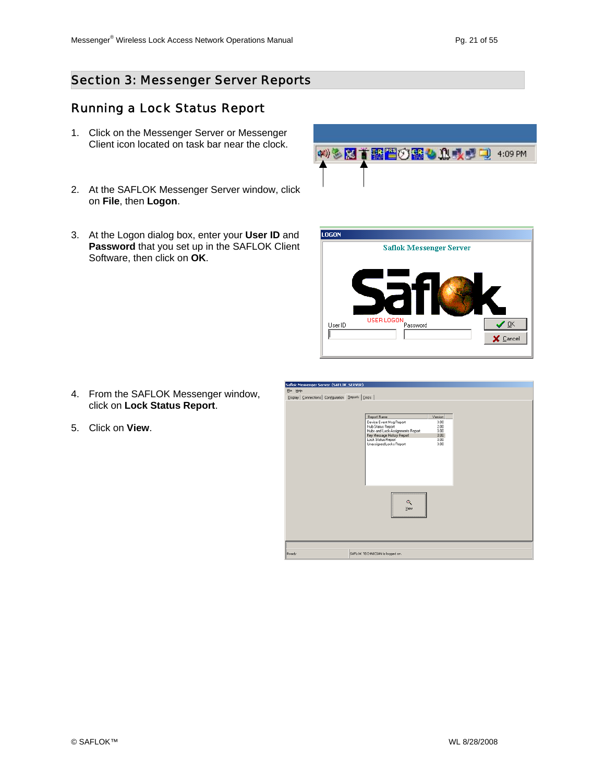#### Running a Lock Status Report

- 1. Click on the Messenger Server or Messenger Client icon located on task bar near the clock.
- 2. At the SAFLOK Messenger Server window, click on **File**, then **Logon**.
- 3. At the Logon dialog box, enter your **User ID** and **Password** that you set up in the SAFLOK Client Software, then click on **OK**.

- 4. From the SAFLOK Messenger window, click on **Lock Status Report**.
- 5. Click on **View**.





| Report Name                                                                      | Version              |  |
|----------------------------------------------------------------------------------|----------------------|--|
| Device Event Msg Report<br>Hub Status Report<br>Hubs and Lock Assignments Report | 3.00<br>2.00<br>3.00 |  |
| Key Message History Report                                                       | 3.00                 |  |
| Lock Status Report<br>Unassigned Locks Report                                    | 3.00<br>3.00         |  |
| Q<br>View                                                                        |                      |  |
|                                                                                  |                      |  |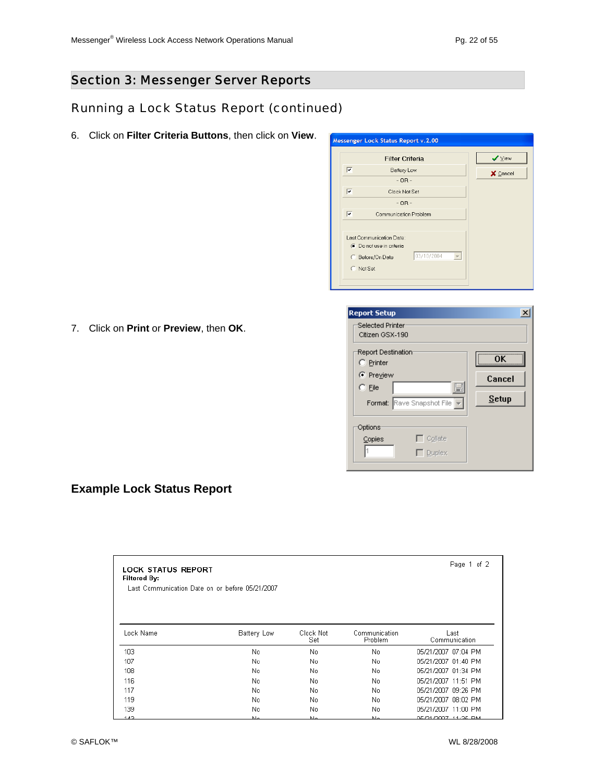### Running a Lock Status Report (continued)

6. Click on **Filter Criteria Buttons**, then click on **View**.

| ⊽         |                                                                                                      |          |
|-----------|------------------------------------------------------------------------------------------------------|----------|
|           | Battery Low                                                                                          | X Cancel |
|           | $-OR -$                                                                                              |          |
| ⊽         | Clock Not Set                                                                                        |          |
|           | $-$ OR $-$                                                                                           |          |
| ⊽         | Communication Problem                                                                                |          |
| C Not Set | Last Communication Date:<br><b>C</b> Do not use in criteria<br>03/10/2004<br><b>C</b> Before/On Date |          |

7. Click on **Print** or **Preview**, then **OK**.

| <b>Report Setup</b>                        |              |
|--------------------------------------------|--------------|
| Selected Printer<br>Citizen GSX-190        |              |
| Report Destination:<br>C Printer           | ΩK           |
| C Preview                                  | Cancel       |
| F<br>$C$ File                              |              |
| Format: Rave Snapshot File                 | <b>Setup</b> |
| Options                                    |              |
| $\overline{\phantom{a}}$ Collate<br>Copies |              |
| $\overline{\phantom{a}}$ Duplex            |              |

#### **Example Lock Status Report**

| <b>LOCK STATUS REPORT</b><br><b>Filtered By:</b><br>Last Communication Date on or before 05/21/2007 | Page 1 of 2 |                  |                                 |                       |
|-----------------------------------------------------------------------------------------------------|-------------|------------------|---------------------------------|-----------------------|
| Lock Name                                                                                           | Battery Low | Clock Not<br>Set | Communication<br><b>Problem</b> | Last<br>Communication |
| 103                                                                                                 | No.         | No               | No.                             | 05/21/2007 07:04 PM   |
| 107                                                                                                 | No.         | No               | No.                             | 05/21/2007 01:40 PM   |
| 108                                                                                                 | No.         | No               | No.                             | 05/21/2007 01:34 PM   |
| 116                                                                                                 | No.         | No.              | No.                             | 05/21/2007 11:51 PM   |
| 117                                                                                                 | No.         | No               | No.                             | 05/21/2007 09:26 PM   |
| 119                                                                                                 | No.         | No               | No                              | 05/21/2007 08:02 PM   |
| 139                                                                                                 | No.         | No               | No                              | 05/21/2007 11:00 PM   |
| 4.40                                                                                                | $E =$       | <b>N.L.</b>      | $h =$                           | OE GALGOOT LA OE EN L |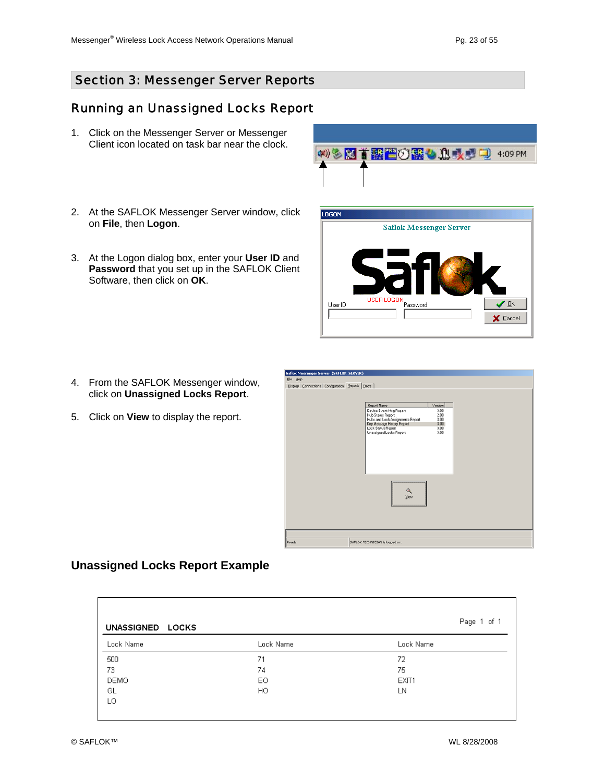OK

X Cancel

#### Section 3: Messenger Server Reports

#### Running an Unassigned Locks Report

- 1. Click on the Messenger Server or Messenger Client icon located on task bar near the clock.
- 2. At the SAFLOK Messenger Server window, click on **File**, then **Logon**.
- 3. At the Logon dialog box, enter your **User ID** and **Password** that you set up in the SAFLOK Client Software, then click on **OK**.

- 4. From the SAFLOK Messenger window, click on **Unassigned Locks Report**.
- 5. Click on **View** to display the report.



#### **Unassigned Locks Report Example**

| UNASSIGNED LOCKS | Page 1 of 1 |           |
|------------------|-------------|-----------|
| Lock Name        | Lock Name   | Lock Name |
| 500              | 71          | 72        |
| 73               | 74          | 75        |
| DEMO             | E0          | EXIT1     |
| GL               | HO.         | LN        |
| LO               |             |           |



**Saflok Messenger Server** 

LOGON

User ID

 $\sqrt{2}$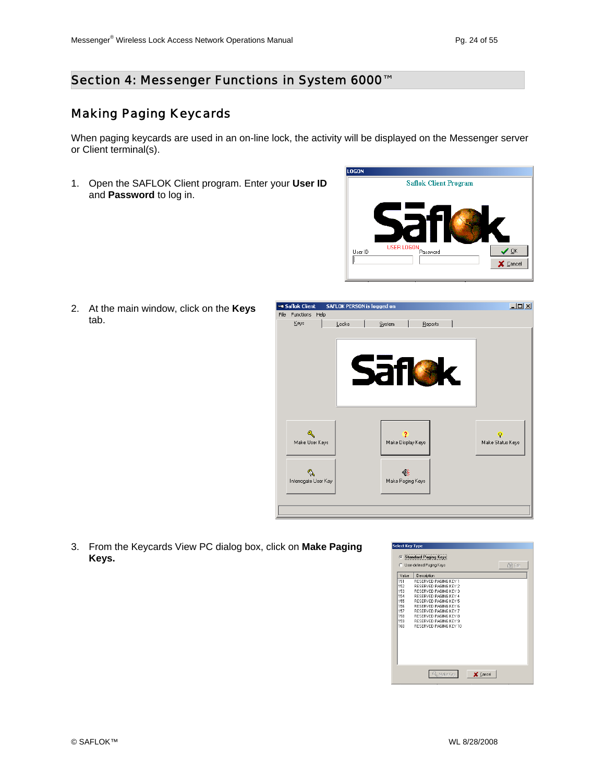#### Making Paging Keycards

When paging keycards are used in an on-line lock, the activity will be displayed on the Messenger server or Client terminal(s).

1. Open the SAFLOK Client program. Enter your **User ID** and **Password** to log in.



2. At the main window, click on the **Keys** tab.



3. From the Keycards View PC dialog box, click on **Make Paging Keys.**

|       | C User-defined Paging Keys   | 激励 |
|-------|------------------------------|----|
| Value | Description                  |    |
| 151   | RESERVED PAGING KEY 1        |    |
| 152   | <b>RESERVED PAGING KEY 2</b> |    |
| 153   | <b>BESERVED PAGING KEY 3</b> |    |
| 154   | RESERVED PAGING KEY 4        |    |
| 155   | <b>RESERVED PAGING KEY 5</b> |    |
| 156   | <b>BESERVED PAGING KEY 6</b> |    |
| 157   | <b>RESERVED PAGING KEY 7</b> |    |
| 159   | BESERVED PAGING KEY 8        |    |
| 159   | RESERVED PAGING KEY 9        |    |
| 160   | BESERVED PAGING KEY 10       |    |
|       |                              |    |
|       |                              |    |
|       |                              |    |
|       |                              |    |
|       |                              |    |
|       |                              |    |
|       |                              |    |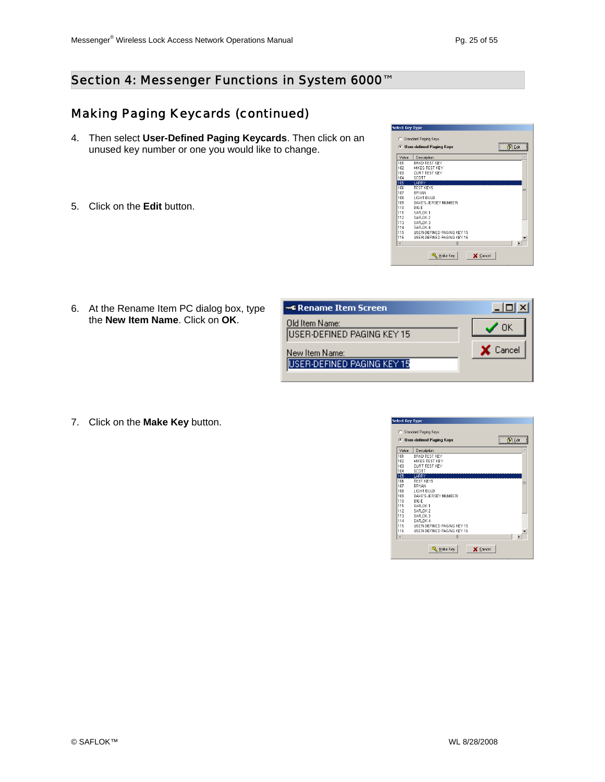#### Making Paging Keycards (continued)

- 4. Then select **User-Defined Paging Keycards**. Then click on an unused key number or one you would like to change.
- 5. Click on the **Edit** button.

| <b>C</b> User-defined Paging Keys |                                   | $\mathbb{R}$ Edit |
|-----------------------------------|-----------------------------------|-------------------|
| Value                             | Description                       | ۸                 |
| 101                               | <b>BRAD TEST KEY</b>              |                   |
| 102                               | MIKES TEST KEY                    |                   |
| 103                               | CURT TEST KEY                     |                   |
| 104                               | SCOTT                             |                   |
| 105                               | <b>LARRY</b>                      |                   |
| 106                               | TEST KEYS                         | ۲                 |
| 107                               | <b>BRYAN</b>                      |                   |
| 108                               | LIGHT BLILB                       |                   |
| 109                               | DAVE'S JERSEY NUMBER              |                   |
| 110                               | <b>BIG F</b>                      |                   |
| 111                               | SAFLOK 1                          |                   |
| 112                               | SAFLOK <sub>2</sub>               |                   |
| 113                               | SAFLOK 3                          |                   |
| 114                               | SAFLOK 4                          |                   |
| 115                               | <b>HSEB-DEFINED PAGING KEY 15</b> |                   |
| 116                               | USER-DEFINED PAGING KEY 16        |                   |
| $\left\  \cdot \right\ $          | III                               |                   |

6. At the Rename Item PC dialog box, type the **New Item Name**. Click on **OK**.

| ∞© Rename Item Screen                                |          |
|------------------------------------------------------|----------|
| Old Item Name:<br><b>IUSER-DEFINED PAGING KEY 15</b> |          |
| New Item Name:                                       | X Cancel |
| USER-DEFINED PAGING KEY 15                           |          |

7. Click on the **Make Key** button.

| <b>Select Key Type</b>            |                                                        |  |  |  |
|-----------------------------------|--------------------------------------------------------|--|--|--|
|                                   |                                                        |  |  |  |
| <b>Standard Paging Keys</b><br>C. |                                                        |  |  |  |
|                                   | $\mathbb{R}$ Edit<br><b>C</b> User-defined Paging Keys |  |  |  |
| Value                             | Description                                            |  |  |  |
| 101                               | <b>BRAD TEST KEY</b>                                   |  |  |  |
| 102                               | MIKES TEST KEY                                         |  |  |  |
| 103                               | CURT TEST KEY                                          |  |  |  |
| 104                               | SCOTT                                                  |  |  |  |
| 105                               | LARRY                                                  |  |  |  |
| 106                               | TEST KEYS<br>≡                                         |  |  |  |
| 107                               | <b>BRYAN</b>                                           |  |  |  |
| 108                               | LIGHT BLILB                                            |  |  |  |
| 109                               | DAVE'S JERSEY NUMBER                                   |  |  |  |
| 110                               | <b>BIG F</b>                                           |  |  |  |
| 111                               | SAFLOK 1                                               |  |  |  |
| 112                               | SAFLOK <sub>2</sub>                                    |  |  |  |
| 113                               | SAFLOK 3                                               |  |  |  |
| 114                               | SAFLOK 4                                               |  |  |  |
| 115                               | <b>HSEB-DEFINED PAGING KEY 15</b>                      |  |  |  |
| 116                               | USER-DEFINED PAGING KEY 16                             |  |  |  |
| $\left  \cdot \right $            | III                                                    |  |  |  |
|                                   | Make Key<br>X Cancel                                   |  |  |  |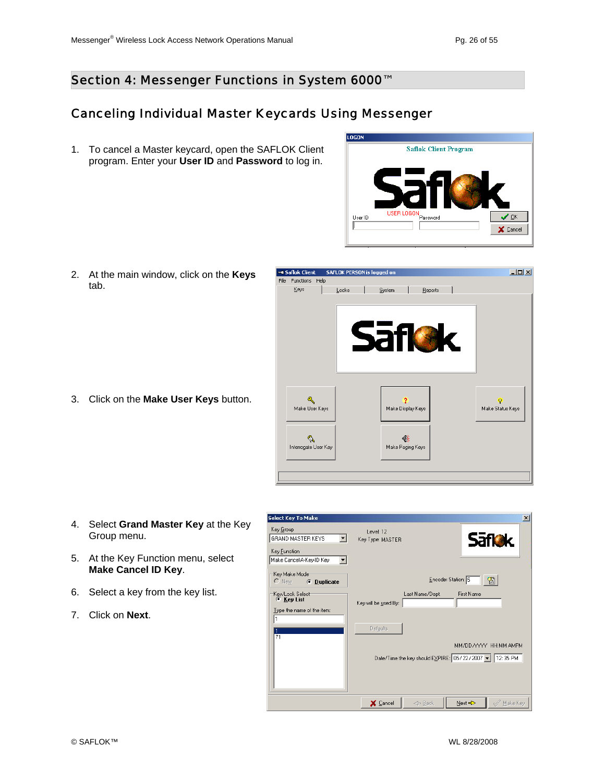#### Section 4: Messenger Functions in System 6000<sup>™</sup>

#### Canceling Individual Master Keycards Using Messenger

1. To cancel a Master keycard, open the SAFLOK Client program. Enter your **User ID** and **Password** to log in.



2. At the main window, click on the **Keys** tab.

3. Click on the **Make User Keys** button.



- 4. Select **Grand Master Key** at the Key Group menu.
- 5. At the Key Function menu, select **Make Cancel ID Key**.
- 6. Select a key from the key list.
- 7. Click on **Next**.

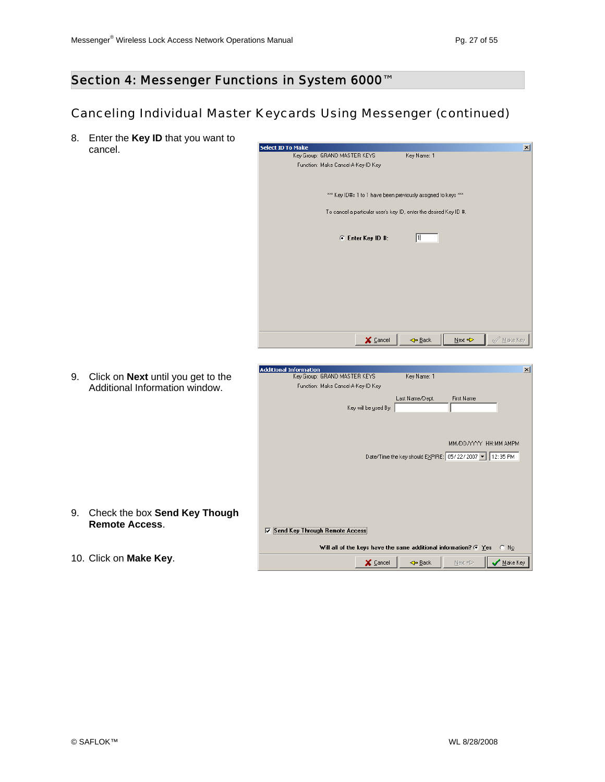#### Section 4: Messenger Functions in System 6000™

### Canceling Individual Master Keycards Using Messenger (continued)

8. Enter the **Key ID** that you want to cancel.



9. Click on **Next** until you get to the Additional Information window.

| <b>Additional Information</b><br>Key Group: GRAND MASTER KEYS      | Key Name: 1     |                                                        | $\mathsf{x}$ |
|--------------------------------------------------------------------|-----------------|--------------------------------------------------------|--------------|
|                                                                    |                 |                                                        |              |
| Function: Make Cancel-A-Key-ID Key                                 |                 |                                                        |              |
|                                                                    | Last Name/Dept. | <b>First Name</b>                                      |              |
| Key will be used By:                                               |                 |                                                        |              |
|                                                                    |                 |                                                        |              |
|                                                                    |                 |                                                        |              |
|                                                                    |                 |                                                        |              |
|                                                                    |                 | MM/DD/YYYY HH:MM AMPM                                  |              |
|                                                                    |                 | Date/Time the key should EXPIRE: 05/22/2007 ▼ 12:35 PM |              |
|                                                                    |                 |                                                        |              |
|                                                                    |                 |                                                        |              |
|                                                                    |                 |                                                        |              |
|                                                                    |                 |                                                        |              |
|                                                                    |                 |                                                        |              |
|                                                                    |                 |                                                        |              |
|                                                                    |                 |                                                        |              |
| Send Key Through Remote Access<br>⊽                                |                 |                                                        |              |
|                                                                    |                 |                                                        |              |
| Will all of the keys have the same additional information? $G$ Yes |                 | $C$ No                                                 |              |
|                                                                    |                 |                                                        |              |
| X Cancel                                                           | ← Back          | $\overline{\phantom{a}}$ Make Key<br>Next <>           |              |

- 
- 9. Check the box **Send Key Though Remote Access**.
- 10. Click on **Make Key**.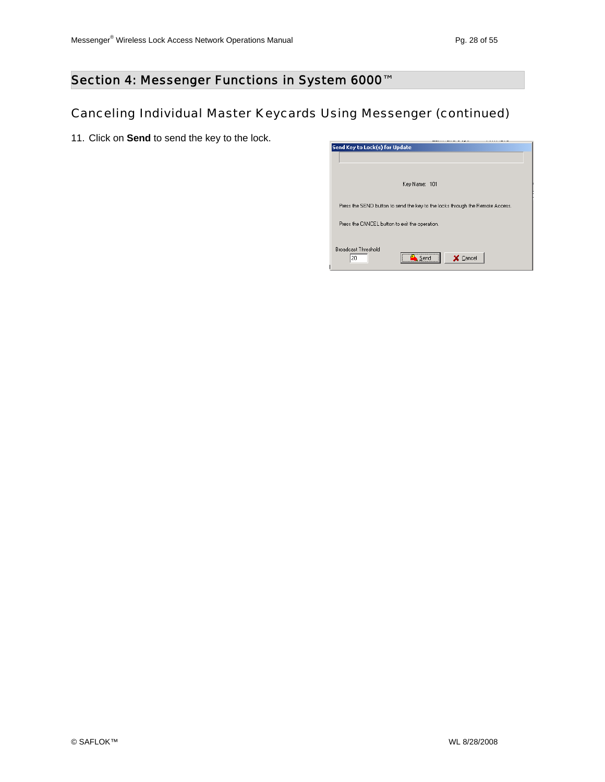## Canceling Individual Master Keycards Using Messenger (continued)

11. Click on **Send** to send the key to the lock.

| Send Key to Lock(s) for Update                                                |
|-------------------------------------------------------------------------------|
|                                                                               |
|                                                                               |
|                                                                               |
| Key Name: 101                                                                 |
|                                                                               |
|                                                                               |
| Press the SEND button to send the key to the locks through the Remote Access. |
|                                                                               |
|                                                                               |
| Press the CANCEL button to exit the operation.                                |
|                                                                               |
|                                                                               |
| <b>Broadcast Threshold</b><br>                                                |
| X Cancel<br>20                                                                |
|                                                                               |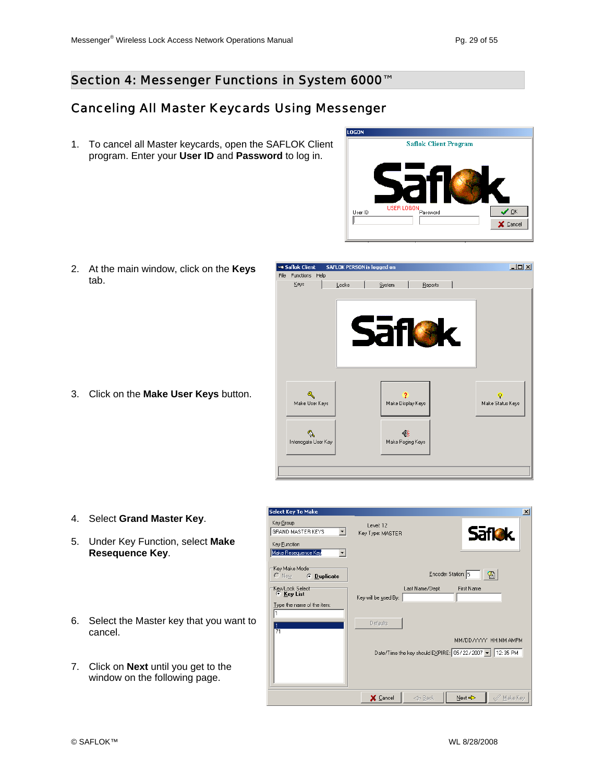#### Section 4: Messenger Functions in System 6000<sup>™</sup>

#### Canceling All Master Keycards Using Messenger

1. To cancel all Master keycards, open the SAFLOK Client program. Enter your **User ID** and **Password** to log in.



2. At the main window, click on the **Keys** tab.

3. Click on the **Make User Keys** button.



- 4. Select **Grand Master Key**.
- 5. Under Key Function, select **Make Resequence Key**.
- 6. Select the Master key that you want to cancel.
- 7. Click on **Next** until you get to the window on the following page.

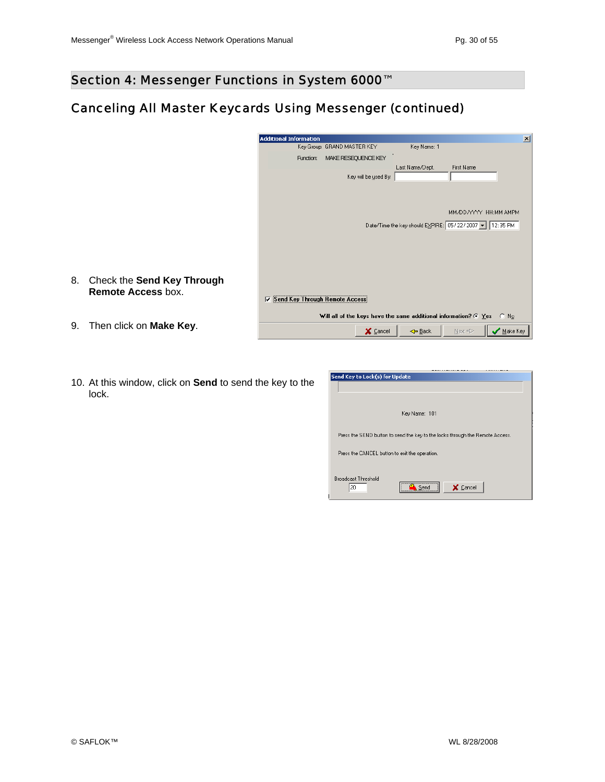### Canceling All Master Keycards Using Messenger (continued)

|      | <b>Additional Information</b>                                                    | $\vert x \vert$ |
|------|----------------------------------------------------------------------------------|-----------------|
|      | Key Name: 1<br>Key Group: GRAND MASTER KEY                                       |                 |
|      | Function:<br>MAKE RESEQUENCE KEY                                                 |                 |
|      | Last Name/Dept.<br><b>First Name</b><br>Key will be used By:                     |                 |
|      | MM/DD/YYYY HH:MM AMPM<br>Date/Time the key should EXPIRE: 05/22/2007 - 12:35 PM  |                 |
| չացի | Send Key Through Remote Access<br>⊽                                              |                 |
|      | Will all of the keys have the same additional information? $\circ$ Yes<br>$C$ No |                 |
|      | $\overline{\phantom{a}}$ Make Key<br>Next =><br>X Cancel<br>← Back               |                 |

- 8. Check the **Send Key Thro Remote Access** box.
- 10. At this window, click on **Send** to send the key to the

| lock.         |  |  |
|---------------|--|--|
| $\sim$ $\sim$ |  |  |
|               |  |  |

9. Then click on **Make Key**.

| Send Key to Lock(s) for Update                                                |          |
|-------------------------------------------------------------------------------|----------|
|                                                                               |          |
|                                                                               |          |
|                                                                               |          |
|                                                                               |          |
| Key Name: 101                                                                 |          |
|                                                                               |          |
|                                                                               |          |
| Press the SEND button to send the key to the locks through the Remote Access. |          |
|                                                                               |          |
| Press the CANCEL button to exit the operation.                                |          |
|                                                                               |          |
|                                                                               |          |
| <b>Broadcast Threshold</b>                                                    |          |
|                                                                               |          |
| 20<br>Send                                                                    | X Cancel |
|                                                                               |          |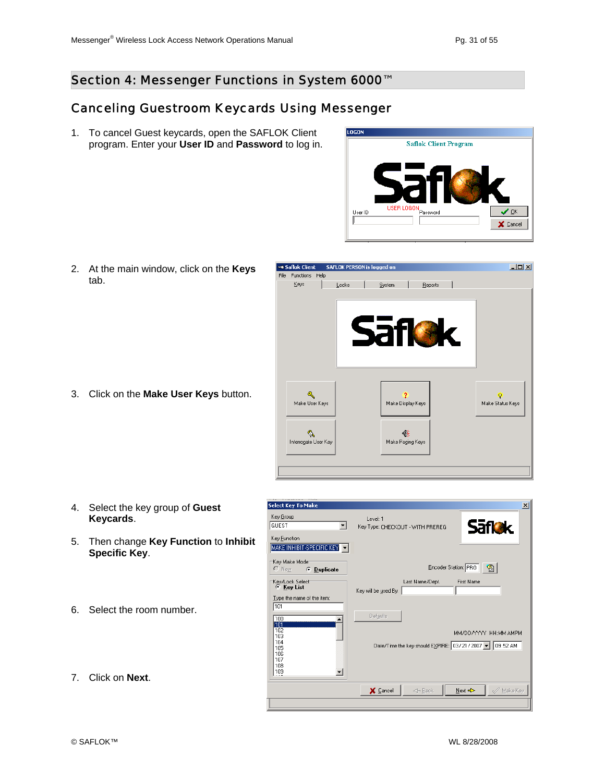#### Section 4: Messenger Functions in System 6000<sup>™</sup>

#### Canceling Guestroom Keycards Using Messenger

1. To cancel Guest keycards, open the SAFLOK Client program. Enter your **User ID** and **Password** to log in.



2. At the main window, click on the **Keys** tab.

3. Click on the **Make User Keys** button.



- 4. Select the key group of **Guest Keycards**.
- 5. Then change **Key Function** to **Inhibit Specific Key**.
- 6. Select the room number.
- **Säflek** Key Type: CHECKOUT - WITH PREREG Key Eunction MAKE INHIBIT-SPECIFIC KEY Key Make Mode<br>C New G Encoder Station: PRO C Duplicate -Key/Lock Select<br>- C Key List Last Name/Dept. First Name Key will be used By:  $\frac{Type the name of the item:}{101}$ Defaults  $\frac{100}{100}$ 102<br>103<br>104<br>105<br>106<br>107<br>108<br>109 MM/DD/YYYY HH:MM AMPM Date/Time the key should EXPIRE: 03/21/2007 | 09:52 AM ᅬ  $\mathcal{D}$  Make Key X Cancel  $\Leftarrow$  Back  $\underline{\textsf{N}}$ ext $\Rightarrow$

Level: 1

 $\overline{\phantom{a}}$ 

Select Key To Make

Key <u>G</u>roup

GUEST

7. Click on **Next**.

 $\vert x \vert$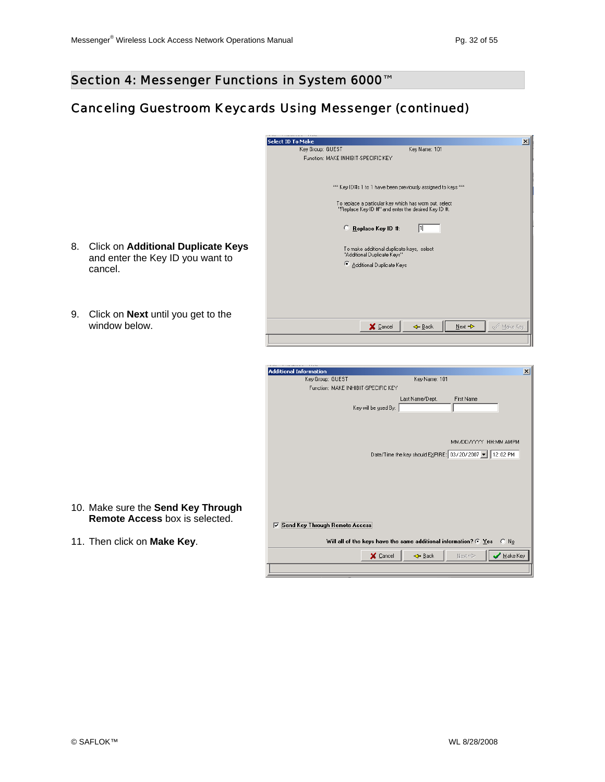### Canceling Guestroom Keycards Using Messenger (continued)

|      | <b>Select ID To Make</b>                                      | $\pmb{\times}$         |
|------|---------------------------------------------------------------|------------------------|
|      | Key Name: 101<br>Key Group: GUEST                             |                        |
|      | Function: MAKE INHIBIT-SPECIFIC KEY                           |                        |
|      |                                                               |                        |
|      |                                                               |                        |
|      |                                                               |                        |
|      | xxx Key ID#s 1 to 1 have been previously assigned to keys xxx |                        |
|      | To replace a particular key which has worn out, select        |                        |
|      | "Replace Key ID #" and enter the desired Key ID #.            |                        |
|      |                                                               |                        |
|      | O                                                             |                        |
|      | Replace Key ID #:<br>11                                       |                        |
|      |                                                               |                        |
| eys: | To make additional duplicate keys, select                     |                        |
|      | "Additional Duplicate Keys"                                   |                        |
|      | ø<br>Additional Duplicate Keys                                |                        |
|      |                                                               |                        |
|      |                                                               |                        |
|      |                                                               |                        |
|      |                                                               |                        |
|      |                                                               |                        |
|      |                                                               |                        |
|      |                                                               |                        |
|      | X Cancel<br>Next =><br>← Back                                 | $\mathcal{Q}$ Make Key |
|      |                                                               |                        |

| <b>Additional Information</b>        |                      |                 |                                                                                  | $\vert x \vert$ |
|--------------------------------------|----------------------|-----------------|----------------------------------------------------------------------------------|-----------------|
| Key Group: GUEST                     |                      | Key Name: 101   |                                                                                  |                 |
| Function: MAKE INHIBIT-SPECIFIC KEY  |                      |                 |                                                                                  |                 |
|                                      |                      | Last Name/Dept. | <b>First Name</b>                                                                |                 |
|                                      | Key will be used By: |                 |                                                                                  |                 |
|                                      |                      |                 |                                                                                  |                 |
|                                      |                      |                 |                                                                                  |                 |
|                                      |                      |                 | MM/DD/YYYY HH:MM AMPM                                                            |                 |
|                                      |                      |                 | Date/Time the key should EXPIRE: 03/20/2007 ▼ 12:02 PM                           |                 |
|                                      |                      |                 |                                                                                  |                 |
|                                      |                      |                 |                                                                                  |                 |
|                                      |                      |                 |                                                                                  |                 |
|                                      |                      |                 |                                                                                  |                 |
|                                      |                      |                 |                                                                                  |                 |
|                                      |                      |                 |                                                                                  |                 |
|                                      |                      |                 |                                                                                  |                 |
| Send Key Through Remote Access<br>1⊽ |                      |                 |                                                                                  |                 |
|                                      |                      |                 | Will all of the keys have the same additional information? $\bullet$ Yes<br>∴ No |                 |
|                                      |                      |                 |                                                                                  |                 |

- 8. Click on **Additional Duplicate K** and enter the Key ID you want to cancel.
- 9. Click on **Next** until you get to the window below.

- 10. Make sure the **Send Key Through Remote Access** box is selected.
- 11. Then click on **Make Key**.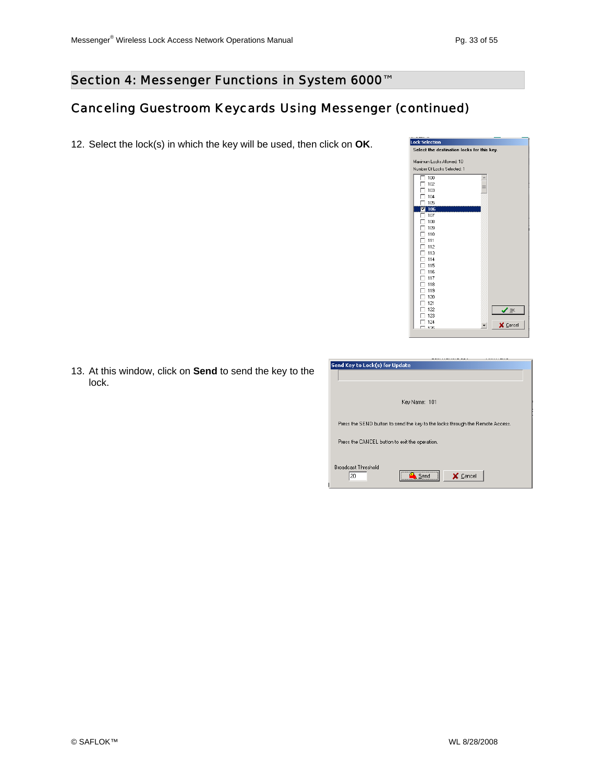### Canceling Guestroom Keycards Using Messenger (continued)

12. Select the lock(s) in which the key will be used, then click on **OK**.



13. At this window, click on **Send** to send the key to the lock.

| Send Key to Lock(s) for Update                                                |          |
|-------------------------------------------------------------------------------|----------|
|                                                                               |          |
|                                                                               |          |
|                                                                               |          |
| Key Name: 101                                                                 |          |
|                                                                               |          |
|                                                                               |          |
| Press the SEND button to send the key to the locks through the Remote Access. |          |
|                                                                               |          |
| Press the CANCEL button to exit the operation.                                |          |
|                                                                               |          |
| <b>Broadcast Threshold</b>                                                    |          |
| <br>20                                                                        |          |
| Send                                                                          | X Cancel |
|                                                                               |          |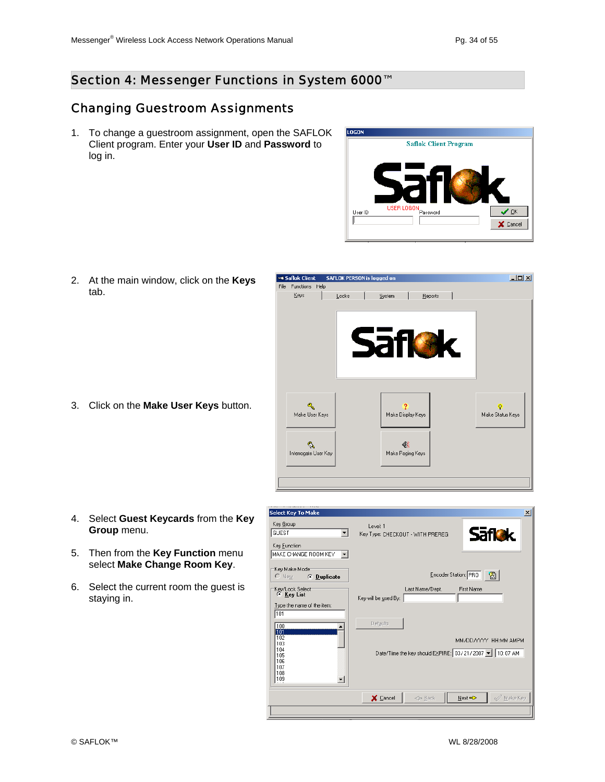#### Section 4: Messenger Functions in System 6000<sup>™</sup>

#### Changing Guestroom Assignments

1. To change a guestroom assignment, open the SAFLOK Client program. Enter your **User ID** and **Password** to log in.



2. At the main window, click on the **Keys** tab.

3. Click on the **Make User Keys** button.



- 4. Select **Guest Keycards** from the **Key Group** menu.
- 5. Then from the **Key Function** menu select **Make Change Room Key**.
- 6. Select the current room the guest is staying in.

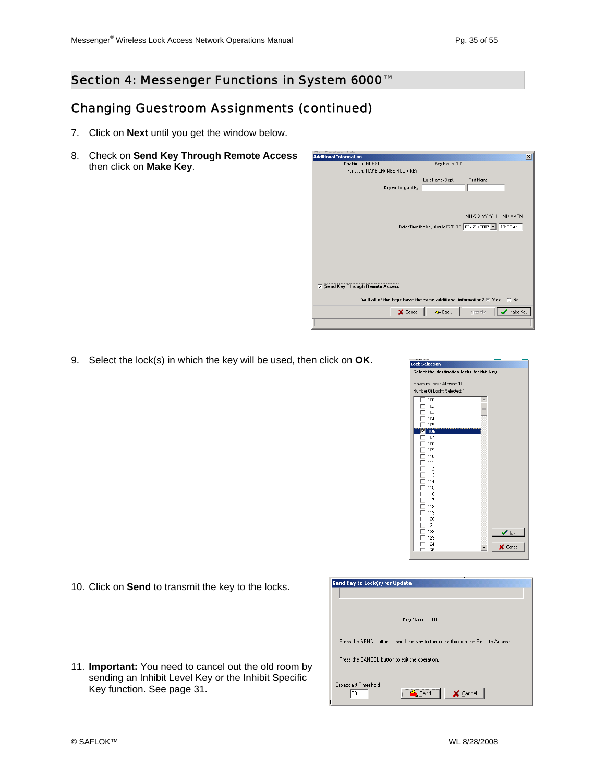#### Changing Guestroom Assignments (continued)

- 7. Click on **Next** until you get the window below.
- 8. Check on **Send Key Through Remote Access** then click on **Make Key**.



9. Select the lock(s) in which the key will be used, then click on **OK**.



10. Click on **Send** to transmit the key to the locks.

| 11. <b>Important:</b> You need to cancel out the old room by |
|--------------------------------------------------------------|
| sending an Inhibit Level Key or the Inhibit Specific         |
| Key function. See page 31.                                   |

| Send Key to Lock(s) for Update                                                |
|-------------------------------------------------------------------------------|
|                                                                               |
|                                                                               |
| Key Name: 101                                                                 |
| Press the SEND button to send the key to the locks through the Remote Access. |
| Press the CANCEL button to exit the operation.                                |
| <b>Broadcast Threshold</b><br><br>20<br><b>X</b> Cancel<br>Send               |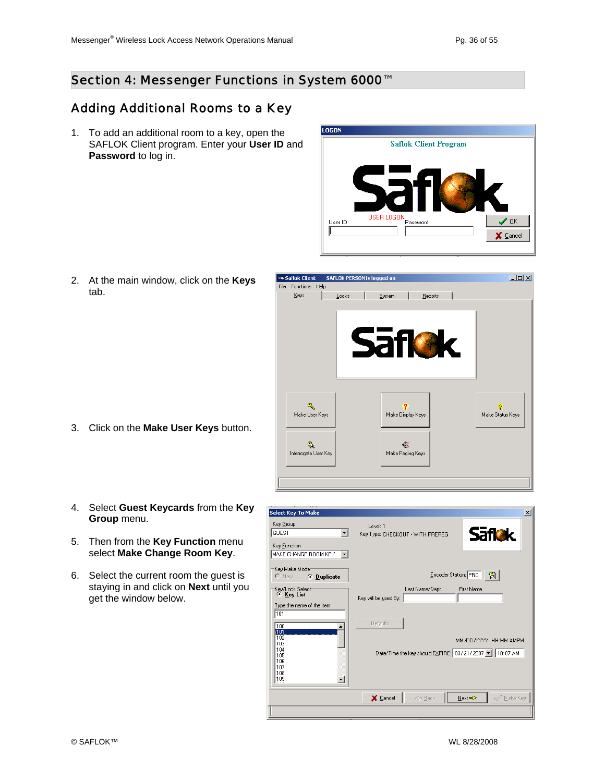#### Section 4: Messenger Functions in System 6000<sup>™</sup>

### Adding Additional Rooms to a Key

1. To add an additional room to a key, open the SAFLOK Client program. Enter your **User ID** and **Password** to log in.



2. At the main window, click on the **Keys** tab.

- 3. Click on the **Make User Keys** button.
- 4. Select **Guest Keycards** from the **Key Group** menu.
- 5. Then from the **Key Function** menu select **Make Change Room Key**.
- 6. Select the current room the guest is staying in and click on **Next** until you get the window below.



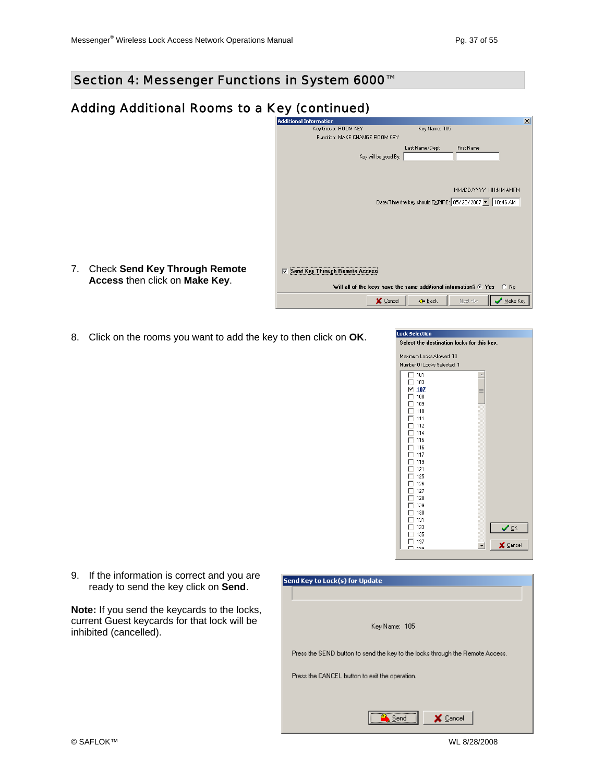## Adding Additional Rooms to a Key (continued)

| <b>Additional Information</b>                                      |                                                        |                       | $\vert x \vert$ |
|--------------------------------------------------------------------|--------------------------------------------------------|-----------------------|-----------------|
| Key Group: ROOM KEY                                                | Key Name: 105                                          |                       |                 |
| Function: MAKE CHANGE ROOM KEY                                     |                                                        |                       |                 |
|                                                                    | Last Name/Dept.                                        | First Name            |                 |
| Key will be used By:                                               |                                                        |                       |                 |
|                                                                    |                                                        |                       |                 |
|                                                                    |                                                        |                       |                 |
|                                                                    |                                                        |                       |                 |
|                                                                    |                                                        | MM/DD/YYYY HH:MM AMPM |                 |
|                                                                    | Date/Time the key should EXPIRE: 05/23/2007 - 10:46 AM |                       |                 |
|                                                                    |                                                        |                       |                 |
|                                                                    |                                                        |                       |                 |
|                                                                    |                                                        |                       |                 |
|                                                                    |                                                        |                       |                 |
|                                                                    |                                                        |                       |                 |
|                                                                    |                                                        |                       |                 |
|                                                                    |                                                        |                       |                 |
| Send Key Through Remote Access<br>⊽                                |                                                        |                       |                 |
|                                                                    |                                                        |                       |                 |
| Will all of the keys have the same additional information? $C$ Yes |                                                        |                       | $C$ No          |
|                                                                    |                                                        |                       | Make Key        |
| X Cancel                                                           | ← Back                                                 | Next =>               |                 |

8. Click on the rooms you want to add the key to then click on **OK**.

| <b>Lock Selection</b>                      |          |
|--------------------------------------------|----------|
| Select the destination locks for this key. |          |
| Maximum Locks Allowed: 10                  |          |
| Number Of Locks Selected: 1                |          |
| 101                                        | A        |
| 103                                        |          |
| 107<br>⊽                                   | ≡        |
| 108                                        |          |
| 109                                        |          |
| 110                                        |          |
| 111                                        |          |
| 112                                        |          |
| 114                                        |          |
| 115                                        |          |
| 116                                        |          |
| 117                                        |          |
| 119<br>121                                 |          |
| 125                                        |          |
| 126                                        |          |
| 127                                        |          |
| 128                                        |          |
| 129                                        |          |
| 130                                        |          |
| 131                                        |          |
| 133                                        | ✔ ፬K     |
| 135                                        |          |
| 137                                        | X Cancel |
| 100                                        |          |

9. If the information is correct and you are ready to send the key click on **Send**.

7. Check **Send Key Through Remote Access** then click on **Make Key**.

**Note:** If you send the keycards to the locks, current Guest keycards for that lock will be inhibited (cancelled).

| Send Key to Lock(s) for Update                                                |
|-------------------------------------------------------------------------------|
|                                                                               |
|                                                                               |
| Key Name: 105                                                                 |
| Press the SEND button to send the key to the locks through the Remote Access. |
| Press the CANCEL button to exit the operation.                                |
|                                                                               |
| Cancel<br>Send                                                                |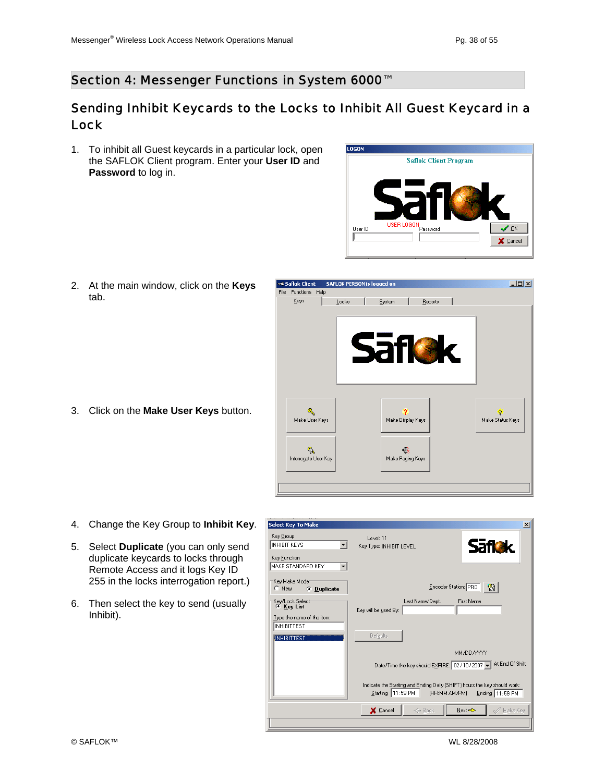#### Sending Inhibit Keycards to the Locks to Inhibit All Guest Keycard in a Lock

1. To inhibit all Guest keycards in a particular lock, open the SAFLOK Client program. Enter your **User ID** and **Password** to log in.



2. At the main window, click on the **Keys** tab.

3. Click on the **Make User Keys** button.



- 4. Change the Key Group to **Inhibit Key**.
- 5. Select **Duplicate** (you can only send duplicate keycards to locks through Remote Access and it logs Key ID 255 in the locks interrogation report.)
- 6. Then select the key to send (usually Inhibit).

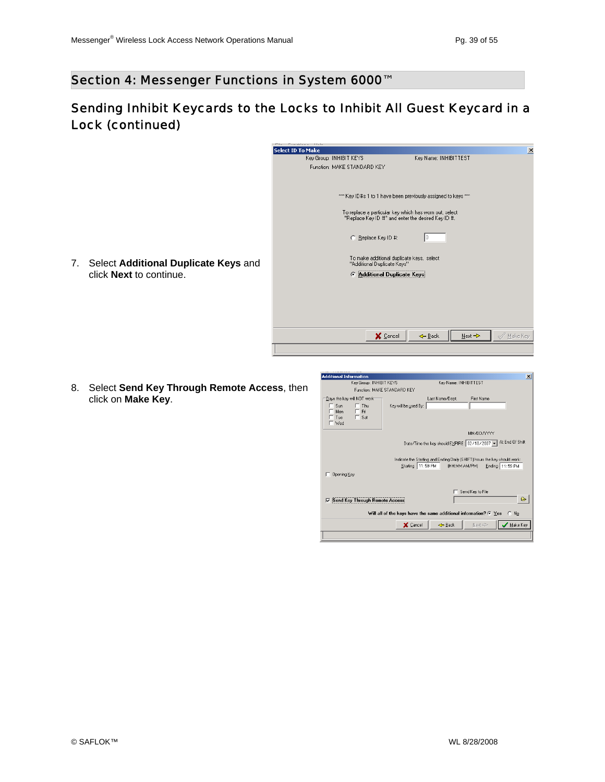## Sending Inhibit Keycards to the Locks to Inhibit All Guest Keycard in a Lock (continued)

| Select ID To Make<br>Key Group: INHIBIT KEYS<br>Key Name: INHIBITTEST<br>Function: MAKE STANDARD KEY                   | $\overline{\mathbf{x}}$ |
|------------------------------------------------------------------------------------------------------------------------|-------------------------|
|                                                                                                                        |                         |
|                                                                                                                        |                         |
|                                                                                                                        |                         |
|                                                                                                                        |                         |
|                                                                                                                        |                         |
| xxx Key ID#s 1 to 1 have been previously assigned to keys xxx                                                          |                         |
| To replace a particular key which has worn out, select<br>"Replace Key ID #" and enter the desired Key ID #.           |                         |
| C Replace Key ID #:                                                                                                    |                         |
| To make additional duplicate keys, select<br>Select Additional Duplicate Keys and<br>7.<br>"Additional Duplicate Keys" |                         |
| click <b>Next</b> to continue.<br>Additional Duplicate Keys                                                            |                         |
|                                                                                                                        |                         |
|                                                                                                                        |                         |
|                                                                                                                        |                         |
|                                                                                                                        |                         |
|                                                                                                                        |                         |
|                                                                                                                        |                         |
| X Cancel<br>← Back<br>Next <>                                                                                          | $\mathcal{Q}$ Make Key  |
|                                                                                                                        |                         |

8. Select **Send Key Through Remote Access**, then click on **Make Key**.

| <b>Additional Information</b>                                                                                                                                                                                      | $\vert x \vert$                      |  |  |
|--------------------------------------------------------------------------------------------------------------------------------------------------------------------------------------------------------------------|--------------------------------------|--|--|
| Key Group: INHIBIT KEYS                                                                                                                                                                                            | Key Name: INHIBITTEST                |  |  |
| Function: MAKE STANDARD KEY                                                                                                                                                                                        |                                      |  |  |
| Days the key will NOT work:<br>Sun<br>$\Gamma$ Thu<br>Key will be used By:<br>Mon<br>$\Gamma$ Fri<br>$\Gamma$ Sat<br>Tue<br>™ Wed                                                                                  | Last Name/Dept.<br><b>First Name</b> |  |  |
|                                                                                                                                                                                                                    | MM/DD/YYYY                           |  |  |
| Date/Time the key should EXPIRE: 02/10/2007 - At End Of Shift<br>Indicate the Starting and Ending Daily (SHIFT) hours the key should work:<br>Starting 11:59 PM<br>(HH:MM AM/PM)<br>Ending 11:59 PM<br>Opening Key |                                      |  |  |
| Send Key to File<br>$\triangleright$<br><b>Send Key Through Remote Access</b><br>⊽                                                                                                                                 |                                      |  |  |
| Will all of the keys have the same additional information? $G$ Yes<br>$\cap$ No                                                                                                                                    |                                      |  |  |
| X Cancel                                                                                                                                                                                                           | Make Key<br>← Back<br>Next =>        |  |  |
|                                                                                                                                                                                                                    |                                      |  |  |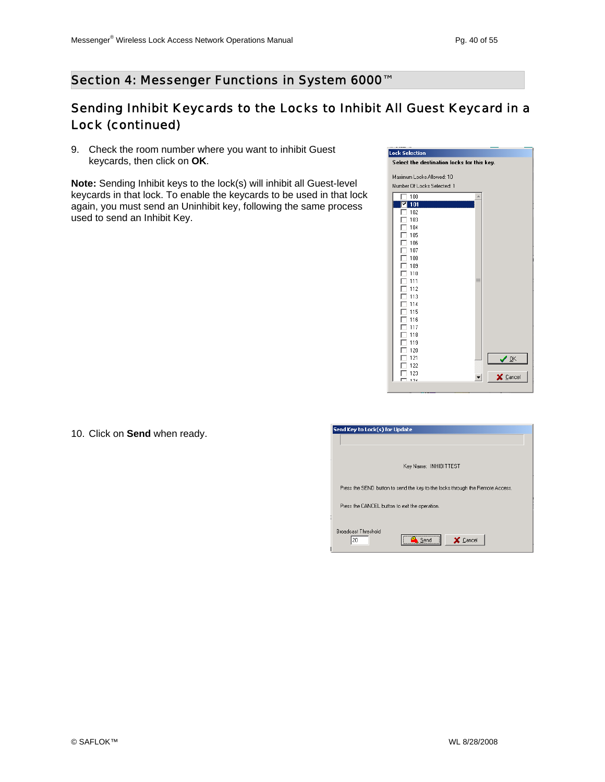#### Section 4: Messenger Functions in System 6000<sup>™</sup>

## Sending Inhibit Keycards to the Locks to Inhibit All Guest Keycard in a Lock (continued)

9. Check the room number where you want to inhibit Guest keycards, then click on **OK**.

**Note:** Sending Inhibit keys to the lock(s) will inhibit all Guest-level keycards in that lock. To enable the keycards to be used in that lock again, you must send an Uninhibit key, following the same process used to send an Inhibit Key.



|  | 10. Click on Send when ready. |  |  |  |
|--|-------------------------------|--|--|--|
|--|-------------------------------|--|--|--|

| Send Key to Lock(s) for Update                                                              |
|---------------------------------------------------------------------------------------------|
|                                                                                             |
| Key Name: INHIBITTEST                                                                       |
| Press the SEND button to send the key to the locks through the Remote Access.               |
| Press the CANCEL button to exit the operation.                                              |
| <b>Broadcast Threshold</b><br>-----------------------------------<br>X Cancel<br>20<br>Send |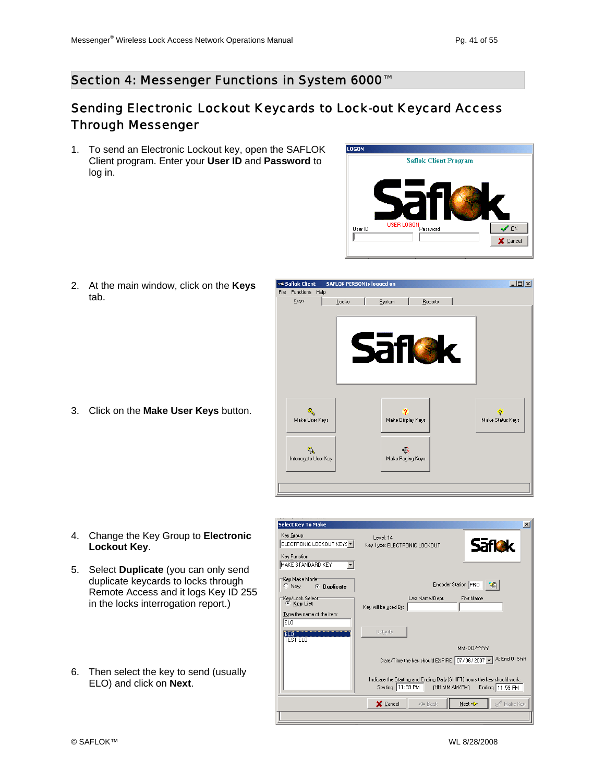### Sending Electronic Lockout Keycards to Lock-out Keycard Access Through Messenger

1. To send an Electronic Lockout key, open the SAFLOK Client program. Enter your **User ID** and **Password** to log in.



2. At the main window, click on the **Keys** tab.

3. Click on the **Make User Keys** button.



- 4. Change the Key Group to **Electronic Lockout Key**.
- 5. Select **Duplicate** (you can only send duplicate keycards to locks through Remote Access and it logs Key ID 255 in the locks interrogation report.)
- 6. Then select the key to send (usually ELO) and click on **Next**.

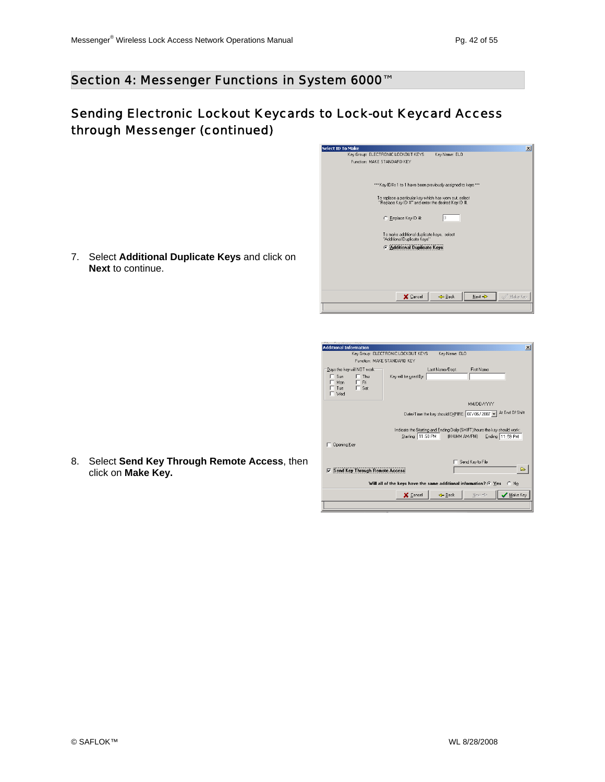### Sending Electronic Lockout Keycards to Lock-out Keycard Access through Messenger (continued)

| <b>Select ID To Make</b>                                                 | $\vert x \vert$ |
|--------------------------------------------------------------------------|-----------------|
| Key Group: ELECTRONIC LOCKOUT KEYS<br>Key Name: ELO                      |                 |
| Function: MAKE STANDARD KEY                                              |                 |
|                                                                          |                 |
|                                                                          |                 |
| xxx Key ID#s 1 to 1 have been previously assigned to keys xxx            |                 |
|                                                                          |                 |
| To replace a particular key which has worn out, select                   |                 |
| "Replace Key ID #" and enter the desired Key ID #.                       |                 |
|                                                                          |                 |
| C Replace Key ID #:                                                      |                 |
|                                                                          |                 |
| To make additional duplicate keys, select<br>"Additional Duplicate Keys" |                 |
|                                                                          |                 |
| <b>6</b> Additional Duplicate Keys                                       |                 |
|                                                                          |                 |
|                                                                          |                 |
|                                                                          |                 |
|                                                                          |                 |
|                                                                          |                 |
| $\mathcal{Q}$ Make Key<br>X Cancel<br>Next <><br>$\leftarrow$ Back       |                 |
|                                                                          |                 |
|                                                                          |                 |

| <b>Additional Information</b>                                                                                                                                                                       |                      |                 |                   | $\vert x \vert$  |  |  |  |  |
|-----------------------------------------------------------------------------------------------------------------------------------------------------------------------------------------------------|----------------------|-----------------|-------------------|------------------|--|--|--|--|
| Key Group: ELECTRONIC LOCKOUT KEYS                                                                                                                                                                  |                      | Kev Name: ELO   |                   |                  |  |  |  |  |
| Function: MAKE STANDARD KEY                                                                                                                                                                         |                      |                 |                   |                  |  |  |  |  |
| Days the key will NOT work<br>Sun<br>Thu<br>Mon<br>$\Box$ Fri<br>$\Gamma$ Sat<br>Tue<br>$\sqsubset$ Wed                                                                                             | Key will be used By: | Last Name/Dept. | <b>First Name</b> |                  |  |  |  |  |
|                                                                                                                                                                                                     |                      |                 | MM/DD/YYYY        |                  |  |  |  |  |
| Date/Time the key should EXPIRE: 07/06/2007 - At End Of Shift<br>Indicate the Starting and Ending Daily (SHIFT) hours the key should work:<br>Starting 11:59 PM<br>(HH:MM AM/PM)<br>Ending 11:59 PM |                      |                 |                   |                  |  |  |  |  |
| <b>Opening Key</b>                                                                                                                                                                                  |                      |                 |                   |                  |  |  |  |  |
| <b>Send Key Through Remote Access</b><br>⊽                                                                                                                                                          |                      |                 | Send Key to File  | $\triangleright$ |  |  |  |  |
| Will all of the keys have the same additional information? $G \text{ Yes}$<br>$C$ No                                                                                                                |                      |                 |                   |                  |  |  |  |  |
|                                                                                                                                                                                                     | X Cancel             | ← Back          | Next <>           | $M$ ake Key      |  |  |  |  |
|                                                                                                                                                                                                     |                      |                 |                   |                  |  |  |  |  |

7. Select **Additional Duplicate Keys** and click on **Next** to continue.

8. Select **Send Key Through Remote Access**, then click on **Make Key.**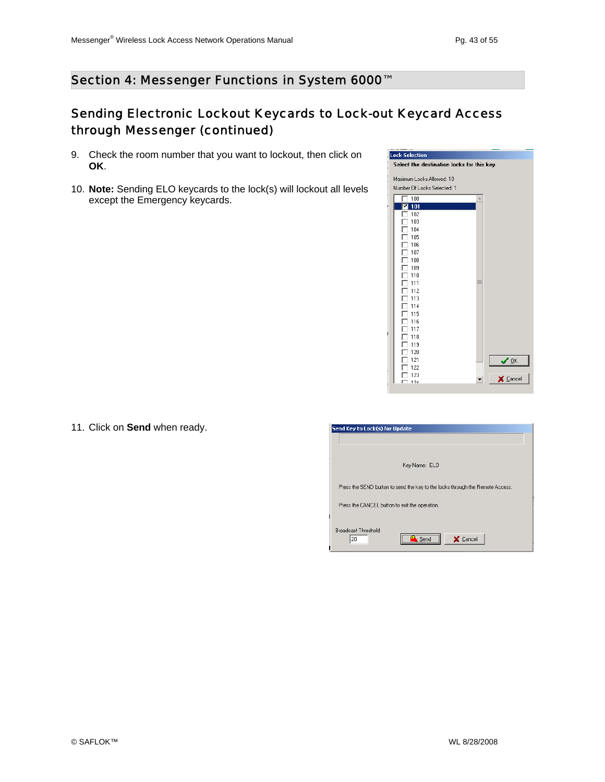### Sending Electronic Lockout Keycards to Lock-out Keycard Access through Messenger (continued)

- 9. Check the room number that you want to lockout, then click on **OK**.
- 10. **Note:** Sending ELO keycards to the lock(s) will lockout all levels except the Emergency keycards.



11. Click on **Send** when ready.

| Send Key to Lock(s) for Update                                                |
|-------------------------------------------------------------------------------|
|                                                                               |
| Key Name: ELO                                                                 |
| Press the SEND button to send the key to the locks through the Remote Access. |
| Press the CANCEL button to exit the operation.                                |
| <b>Broadcast Threshold</b><br><br>20<br>X Cancel<br>Send                      |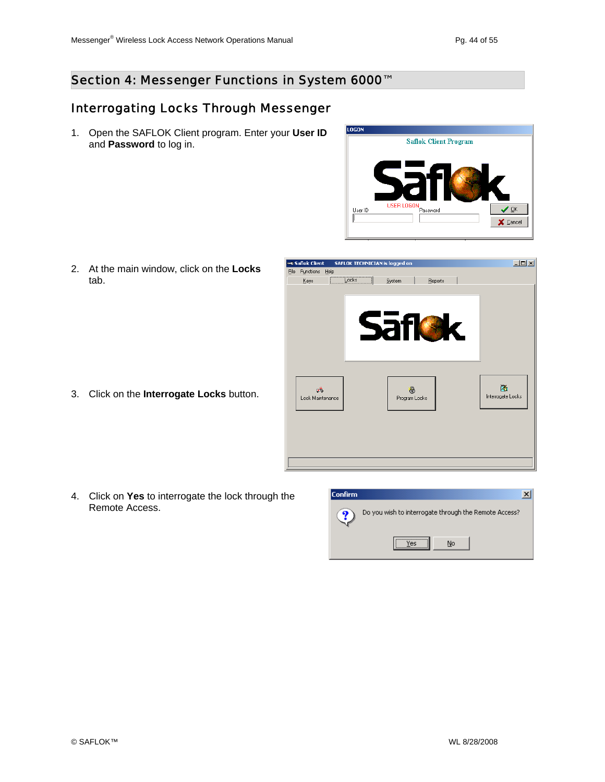### Interrogating Locks Through Messenger

1. Open the SAFLOK Client program. Enter your **User ID** and **Password** to log in.



2. At the main window, click on the **Locks**  tab.

3. Click on the **Interrogate Locks** button.



4. Click on **Yes** to interrogate the lock through the Remote Access.

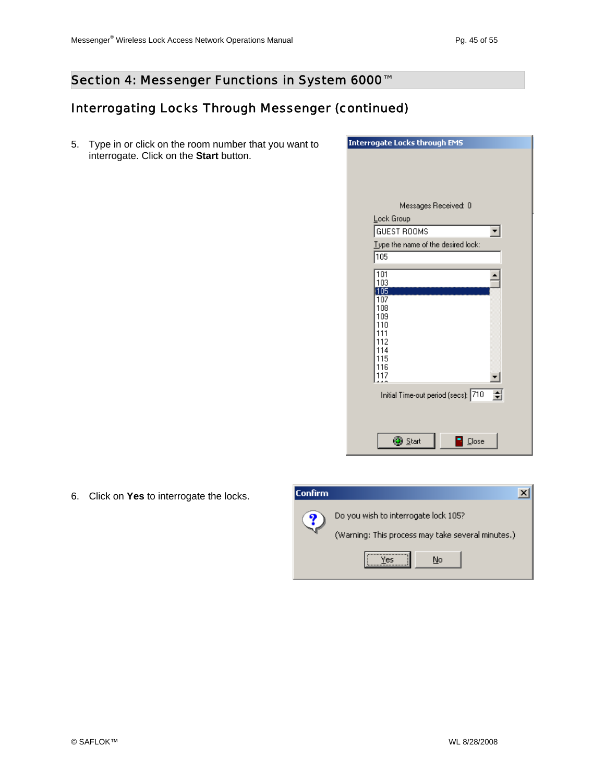## Interrogating Locks Through Messenger (continued)

5. Type in or click on the room number that you want to interrogate. Click on the **Start** button.



6. Click on **Yes** to interrogate the locks.

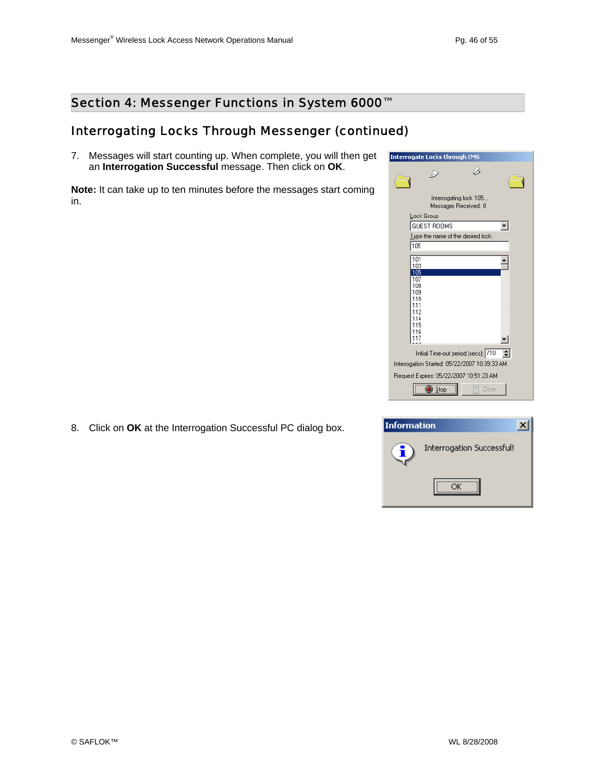### Interrogating Locks Through Messenger (continued)

7. Messages will start counting up. When complete, you will then get an **Interrogation Successful** message. Then click on **OK**.

**Note:** It can take up to ten minutes before the messages start coming in.



8. Click on **OK** at the Interrogation Successful PC dialog box.

| <b>Information</b> |                           |  |
|--------------------|---------------------------|--|
|                    | Interrogation Successful! |  |
|                    |                           |  |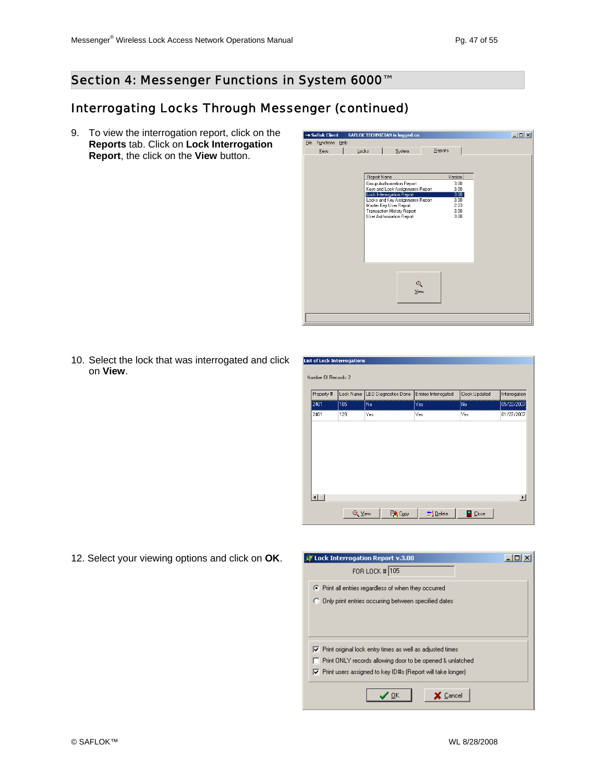#### Interrogating Locks Through Messenger (continued)

9. To view the interrogation report, click on the **Reports** tab. Click on **Lock Interrogation Report**, the click on the **View** button.



10. Select the lock that was interrogated and click on **View**.

| Property # | Lock Name | LED Diagnostics Done | Entries Interrogated | Clock Updated | Interrogation |
|------------|-----------|----------------------|----------------------|---------------|---------------|
| 2401       | 105       | No                   | Yes                  | No.           | 05/22/2007    |
| 2401       | 129       | Yes                  | Yes                  | Yes           | 01/27/2007    |
|            |           |                      |                      |               |               |
|            |           |                      |                      |               |               |
|            |           |                      |                      |               |               |
|            |           |                      |                      |               |               |
|            |           |                      |                      |               |               |
|            |           |                      |                      |               |               |
|            |           |                      |                      |               |               |
|            |           |                      |                      |               |               |

12. Select your viewing options and click on **OK**.

| <b>Lock Interrogation Report v.3.00</b>                                    |  |
|----------------------------------------------------------------------------|--|
| FOR LOCK # 105                                                             |  |
| ◯ Print all entries regardless of when they occurred                       |  |
| C Only print entries occurring between specified dates                     |  |
|                                                                            |  |
|                                                                            |  |
| $\nabla$ Print original lock entry times as well as adjusted times         |  |
| Print ONLY records allowing door to be opened & unlatched                  |  |
| $\triangledown$ Print users assigned to key ID#s (Report will take longer) |  |
|                                                                            |  |
| Cancel<br>OΚ                                                               |  |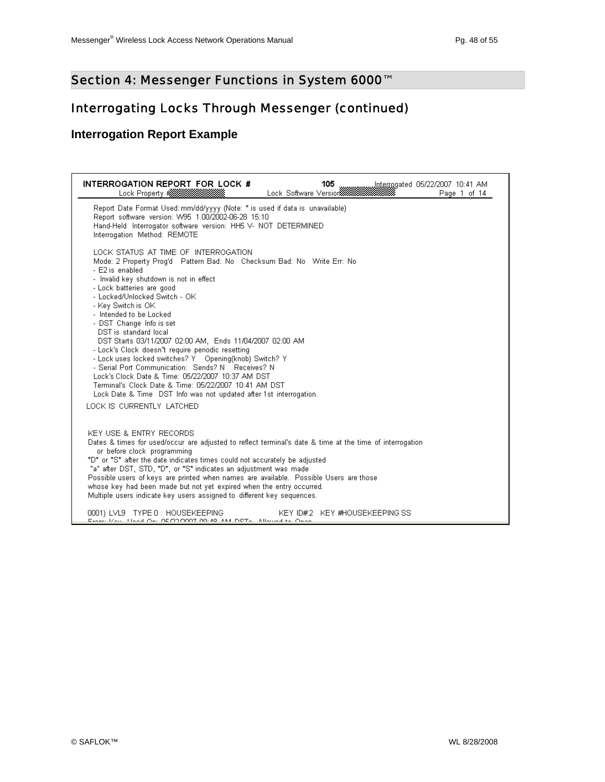### Interrogating Locks Through Messenger (continued)

#### **Interrogation Report Example**

| INTERROGATION REPORT FOR LOCK #<br>105<br>Page 1 of 14                                                                                                                                                                                                                                                                                                                                                                                                                                                                                                                                                                                                                                                                                                                  |
|-------------------------------------------------------------------------------------------------------------------------------------------------------------------------------------------------------------------------------------------------------------------------------------------------------------------------------------------------------------------------------------------------------------------------------------------------------------------------------------------------------------------------------------------------------------------------------------------------------------------------------------------------------------------------------------------------------------------------------------------------------------------------|
| Report Date Format Used: mm/dd/yyyy (Note: * is used if data is unavailable)<br>Report software version: W95 1.00/2002-06-28 15:10<br>Hand-Held Interrogator software version: HH5 V- NOT DETERMINED<br>Interrogation Method: REMOTE                                                                                                                                                                                                                                                                                                                                                                                                                                                                                                                                    |
| LOCK STATUS AT TIME OF INTERROGATION<br>Mode: 2 Property Prog'd Pattern Bad: No Checksum Bad: No Write Err: No<br>- E2 is enabled<br>- Invalid key shutdown is not in effect<br>- Lock batteries are good<br>- Locked/Unlocked Switch - OK<br>- Key Switch is OK<br>- Intended to be Locked<br>- DST Change Info is set<br>DST is standard local<br>DST Starts 03/11/2007 02:00 AM, Ends 11/04/2007 02:00 AM<br>- Lock's Clock doesn't require periodic resetting<br>- Lock uses locked switches? Y Opening(knob) Switch? Y<br>- Serial Port Communication: Sends? N Receives? N<br>Lock's Clock, Date & Time: 05/22/2007, 10:37 AM, DST<br>Terminal's Clock Date & Time: 05/22/2007 10:41 AM DST<br>Lock Date & Time DST Info was not updated after 1st interrogation. |
| LOCK IS CURRENTLY LATCHED                                                                                                                                                                                                                                                                                                                                                                                                                                                                                                                                                                                                                                                                                                                                               |
| KEY USE & ENTRY RECORDS<br>Dates & times for used/occur are adjusted to reflect terminal's date & time at the time of interrogation<br>or before clock programming<br>*D* or *S* after the date indicates times could not accurately be adjusted<br>"a" after DST, STD, *D*, or *S* indicates an adjustment was made<br>Possible users of keys are printed when names are available. Possible Users are those<br>whose key had been made but not yet expired when the entry occurred.<br>Multiple users indicate key users assigned to different key sequences.                                                                                                                                                                                                         |
| KEY ID#2 KEY #HOUSEKEEPING SS<br>0001) LVL9 TYPE 0 : HOUSEKEEPING<br>From: Kou, Hood On: 05/00/0007 00:49 AM DRTs. Allound to Onon                                                                                                                                                                                                                                                                                                                                                                                                                                                                                                                                                                                                                                      |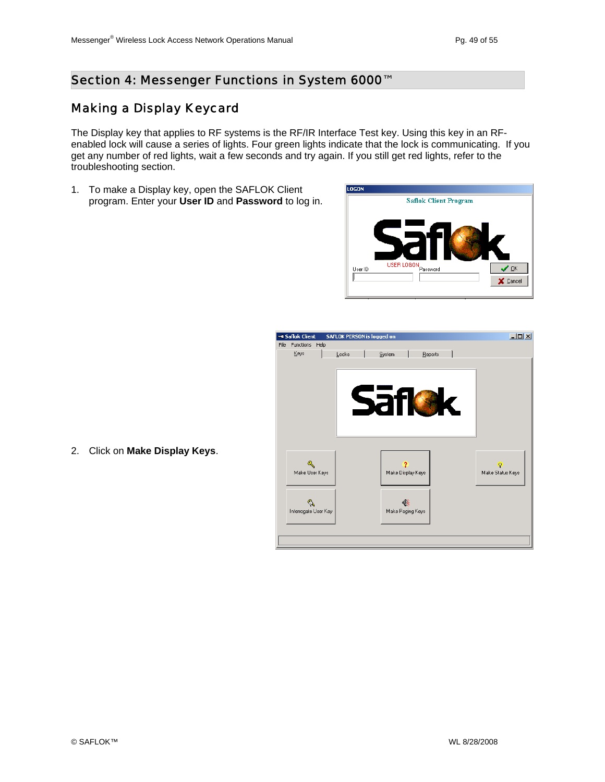#### Section 4: Messenger Functions in System 6000<sup>™</sup>

### Making a Display Keycard

The Display key that applies to RF systems is the RF/IR Interface Test key. Using this key in an RFenabled lock will cause a series of lights. Four green lights indicate that the lock is communicating. If you get any number of red lights, wait a few seconds and try again. If you still get red lights, refer to the troubleshooting section.

1. To make a Display key, open the SAFLOK Client program. Enter your **User ID** and **Password** to log in.



| <b>w© Saflok Client</b> |      | <b>SAFLOK PERSON is logged on</b> |             |                       |         |    | $\Box$ D $\times$ |
|-------------------------|------|-----------------------------------|-------------|-----------------------|---------|----|-------------------|
| File Functions          | Help |                                   |             |                       |         |    |                   |
| Keys                    |      | Locks                             | System      |                       | Reports |    |                   |
|                         |      |                                   |             |                       |         |    |                   |
|                         |      |                                   |             |                       |         |    |                   |
|                         |      |                                   |             |                       |         |    |                   |
|                         |      |                                   |             |                       |         |    |                   |
|                         |      |                                   | <b>Safi</b> |                       |         | K. |                   |
|                         |      |                                   |             |                       |         |    |                   |
|                         |      |                                   |             |                       |         |    |                   |
|                         |      |                                   |             |                       |         |    |                   |
|                         |      |                                   |             |                       |         |    |                   |
|                         |      |                                   |             |                       |         |    |                   |
|                         |      |                                   |             |                       |         |    | Ω                 |
| Make User Keys          |      |                                   |             | Make Display Keys     |         |    | Make Status Keys  |
|                         |      |                                   |             |                       |         |    |                   |
|                         |      |                                   |             |                       |         |    |                   |
| Interrogate User Key    |      |                                   |             | €<br>Make Paging Keys |         |    |                   |
|                         |      |                                   |             |                       |         |    |                   |
|                         |      |                                   |             |                       |         |    |                   |
|                         |      |                                   |             |                       |         |    |                   |
|                         |      |                                   |             |                       |         |    |                   |

2. Click on **Make Display Keys**.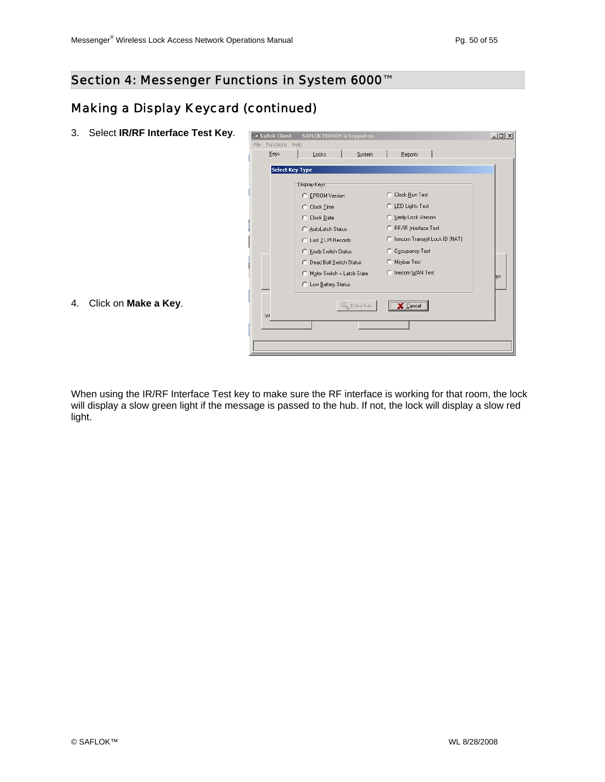### Making a Display Keycard (continued)

3. Select **IR/RF Interface Test Key**.

| <del></del> Saflok Client        | <b>SAFLOK PERSON is logged on</b> |                                  | $-10x$ |
|----------------------------------|-----------------------------------|----------------------------------|--------|
| <b>Functions</b><br>File<br>Keys | Help<br>Locks<br>System           | Reports                          |        |
|                                  | <b>Select Key Type</b>            |                                  |        |
|                                  | Display Keys-                     |                                  |        |
|                                  | C EPROM Version                   | Clock Run Test<br>n.             |        |
|                                  | C Clock Time                      | C LED Lights Test                |        |
|                                  | C Clock Date                      | C Verify Lock Version            |        |
|                                  | C AutoLatch Status                | C RF/IR Interface Test           |        |
|                                  | C Last 2 LPI Records              | C. Inncom Transmit Lock ID (NAT) |        |
|                                  | C Knob Switch Status              | C Occupancy Test                 |        |
|                                  | C Dead Bolt Switch Status         | Minibar Test<br>C.               |        |
|                                  | Motor Switch + Latch State<br>C.  | C Inncom WAN Test                | bus    |
|                                  | C Low Battery Status              |                                  |        |
| Inl                              | & Make Key                        | <br>Cancel                       |        |
|                                  |                                   |                                  |        |
|                                  |                                   |                                  |        |
|                                  |                                   |                                  |        |

4. Click on **Make a Key**.

When using the IR/RF Interface Test key to make sure the RF interface is working for that room, the lock will display a slow green light if the message is passed to the hub. If not, the lock will display a slow red light.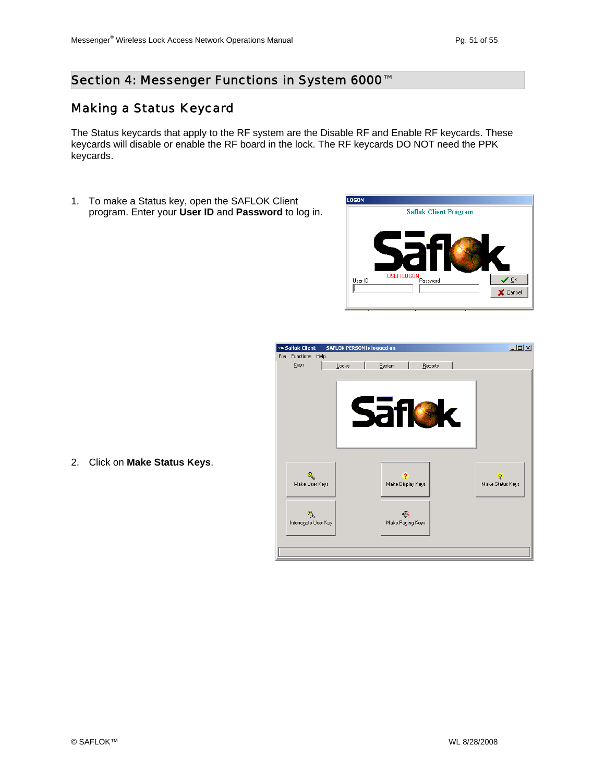#### Making a Status Keycard

The Status keycards that apply to the RF system are the Disable RF and Enable RF keycards. These keycards will disable or enable the RF board in the lock. The RF keycards DO NOT need the PPK keycards.

1. To make a Status key, open the SAFLOK Client program. Enter your **User ID** and **Password** to log in.



| «Gaflok Client»        |      | <b>SAFLOK PERSON is logged on</b> |            |                        |         |  |                                    | $\Box$ D $\Box$ |
|------------------------|------|-----------------------------------|------------|------------------------|---------|--|------------------------------------|-----------------|
| File Functions<br>Keys | Help | Locks                             | System     |                        | Reports |  |                                    |                 |
|                        |      |                                   |            |                        |         |  |                                    |                 |
|                        |      |                                   |            |                        |         |  |                                    |                 |
|                        |      |                                   |            |                        |         |  |                                    |                 |
|                        |      |                                   |            |                        |         |  |                                    |                 |
|                        |      |                                   | <b>Saf</b> |                        |         |  |                                    |                 |
|                        |      |                                   |            |                        |         |  |                                    |                 |
|                        |      |                                   |            |                        |         |  |                                    |                 |
|                        |      |                                   |            |                        |         |  |                                    |                 |
|                        |      |                                   |            |                        |         |  |                                    |                 |
| Q<br>Make User Keys    |      |                                   |            | ?<br>Make Display Keys |         |  | $\overline{Q}$<br>Make Status Keys |                 |
|                        |      |                                   |            |                        |         |  |                                    |                 |
|                        |      |                                   |            |                        |         |  |                                    |                 |
| Interrogate User Key   |      |                                   |            | €ξ                     |         |  |                                    |                 |
|                        |      |                                   |            | Make Paging Keys       |         |  |                                    |                 |
|                        |      |                                   |            |                        |         |  |                                    |                 |
|                        |      |                                   |            |                        |         |  |                                    |                 |

2. Click on **Make Status Keys**.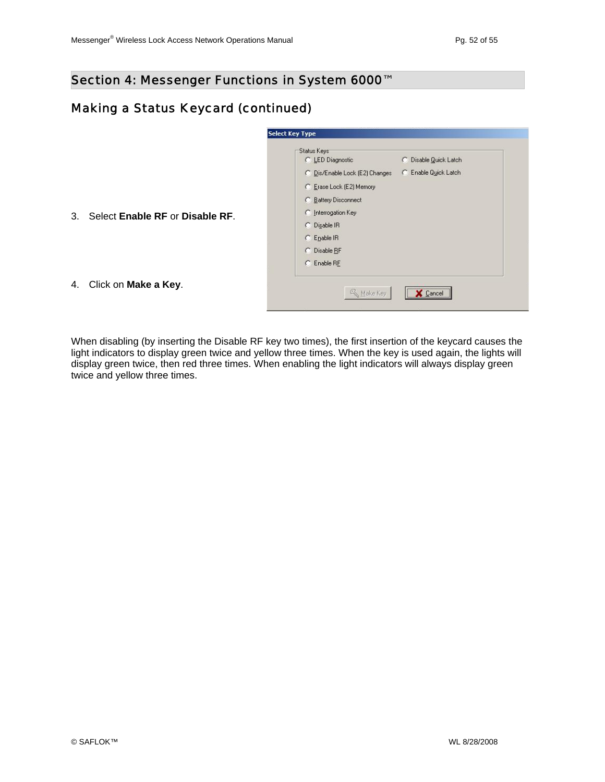#### Making a Status Keycard (continued)

|    |                                 | <b>Select Key Type</b>                                                                                                                                                                                                                                      |
|----|---------------------------------|-------------------------------------------------------------------------------------------------------------------------------------------------------------------------------------------------------------------------------------------------------------|
| 3. | Select Enable RF or Disable RF. | Status Keys<br>C LED Diagnostic<br>C Disable Quick Latch<br>C Enable Quick Latch<br>C Dis/Enable Lock (E2) Changes<br>C Erase Lock (E2) Memory<br>C Battery Disconnect<br>C Interrogation Key<br>C Disable IR<br>C Enable IR<br>C Disable RF<br>C Enable RF |
| 4. | Click on Make a Key.            | <b>K</b> Make Key<br>Cancel                                                                                                                                                                                                                                 |
|    |                                 |                                                                                                                                                                                                                                                             |

When disabling (by inserting the Disable RF key two times), the first insertion of the keycard causes the light indicators to display green twice and yellow three times. When the key is used again, the lights will display green twice, then red three times. When enabling the light indicators will always display green twice and yellow three times.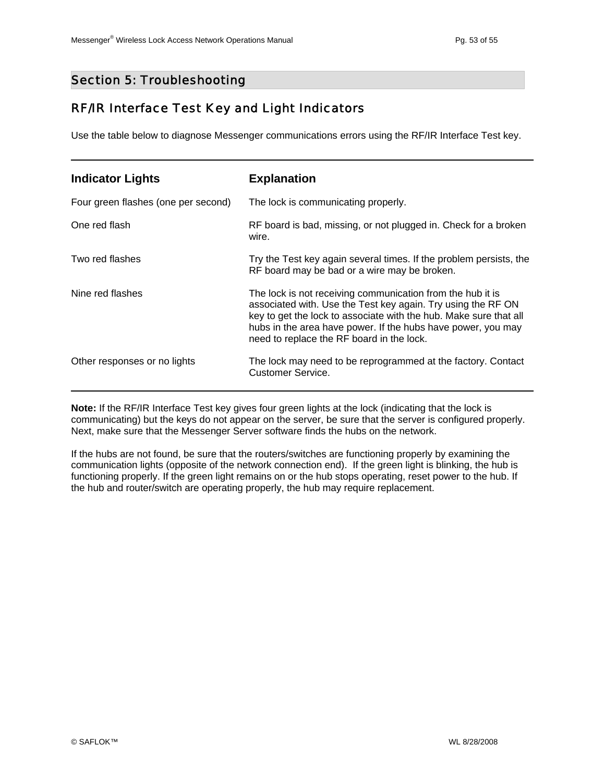#### Section 5: Troubleshooting

#### RF/IR Interface Test Key and Light Indicators

Use the table below to diagnose Messenger communications errors using the RF/IR Interface Test key.

| <b>Indicator Lights</b>             | <b>Explanation</b>                                                                                                                                                                                                                                                                                           |
|-------------------------------------|--------------------------------------------------------------------------------------------------------------------------------------------------------------------------------------------------------------------------------------------------------------------------------------------------------------|
| Four green flashes (one per second) | The lock is communicating properly.                                                                                                                                                                                                                                                                          |
| One red flash                       | RF board is bad, missing, or not plugged in. Check for a broken<br>wire.                                                                                                                                                                                                                                     |
| Two red flashes                     | Try the Test key again several times. If the problem persists, the<br>RF board may be bad or a wire may be broken.                                                                                                                                                                                           |
| Nine red flashes                    | The lock is not receiving communication from the hub it is<br>associated with. Use the Test key again. Try using the RF ON<br>key to get the lock to associate with the hub. Make sure that all<br>hubs in the area have power. If the hubs have power, you may<br>need to replace the RF board in the lock. |
| Other responses or no lights        | The lock may need to be reprogrammed at the factory. Contact<br>Customer Service.                                                                                                                                                                                                                            |

**Note:** If the RF/IR Interface Test key gives four green lights at the lock (indicating that the lock is communicating) but the keys do not appear on the server, be sure that the server is configured properly. Next, make sure that the Messenger Server software finds the hubs on the network.

If the hubs are not found, be sure that the routers/switches are functioning properly by examining the communication lights (opposite of the network connection end). If the green light is blinking, the hub is functioning properly. If the green light remains on or the hub stops operating, reset power to the hub. If the hub and router/switch are operating properly, the hub may require replacement.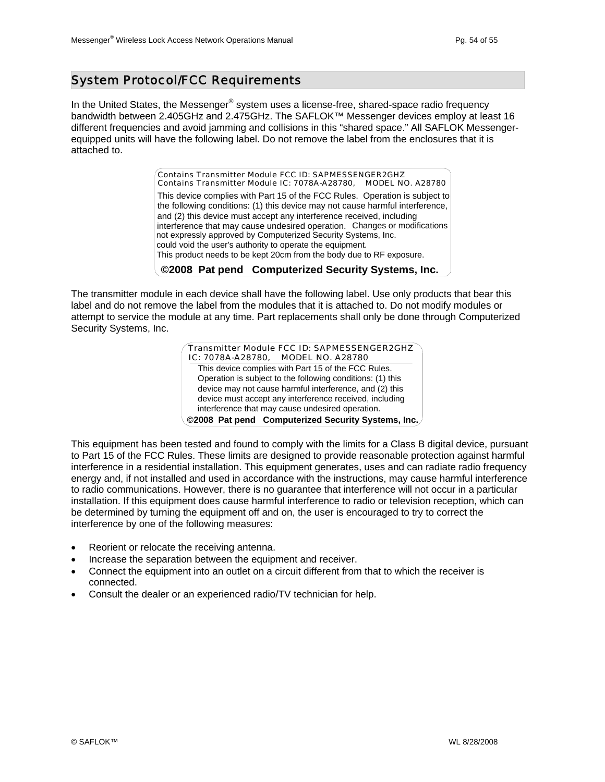#### System Protocol/FCC Requirements

In the United States, the Messenger® system uses a license-free, shared-space radio frequency bandwidth between 2.405GHz and 2.475GHz. The SAFLOK™ Messenger devices employ at least 16 different frequencies and avoid jamming and collisions in this "shared space." All SAFLOK Messengerequipped units will have the following label. Do not remove the label from the enclosures that it is attached to.

> interference that may cause undesired operation. Changes or modifications not expressly approved by Computerized Security Systems, Inc. could void the user's authority to operate the equipment. This product needs to be kept 20cm from the body due to RF exposure. **©2008 Pat pend Computerized Security Systems, Inc.** This device complies with Part 15 of the FCC Rules. Operation is subject to the following conditions: (1) this device may not cause harmful interference, and (2) this device must accept any interference received, including *Contains Transmitter Module FCC ID: SAPMESSENGER2GHZ Contains Transmitter Module IC: 7078A-A28780, MODEL NO. A28780*

The transmitter module in each device shall have the following label. Use only products that bear this label and do not remove the label from the modules that it is attached to. Do not modify modules or attempt to service the module at any time. Part replacements shall only be done through Computerized Security Systems, Inc.

| $\sqrt{T}$ Transmitter Module FCC ID: SAPMESSENGER2GHZ $\sqrt{T}$<br>IC: 7078A-A28780, MODEL NO. A28780 |  |
|---------------------------------------------------------------------------------------------------------|--|
| This device complies with Part 15 of the FCC Rules.                                                     |  |
| Operation is subject to the following conditions: (1) this                                              |  |
| device may not cause harmful interference, and (2) this                                                 |  |
| device must accept any interference received, including                                                 |  |
| interference that may cause undesired operation.                                                        |  |
| ©2008 Pat pend Computerized Security Systems, Inc.                                                      |  |

This equipment has been tested and found to comply with the limits for a Class B digital device, pursuant to Part 15 of the FCC Rules. These limits are designed to provide reasonable protection against harmful interference in a residential installation. This equipment generates, uses and can radiate radio frequency energy and, if not installed and used in accordance with the instructions, may cause harmful interference to radio communications. However, there is no guarantee that interference will not occur in a particular installation. If this equipment does cause harmful interference to radio or television reception, which can be determined by turning the equipment off and on, the user is encouraged to try to correct the interference by one of the following measures:

- Reorient or relocate the receiving antenna.
- Increase the separation between the equipment and receiver.
- Connect the equipment into an outlet on a circuit different from that to which the receiver is connected.
- Consult the dealer or an experienced radio/TV technician for help.